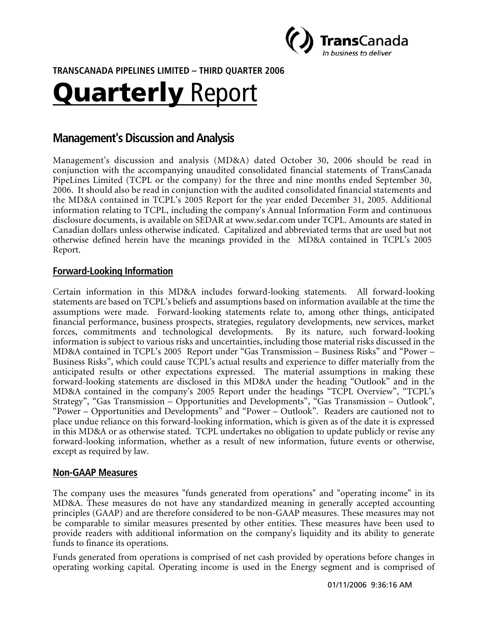

**TRANSCANADA PIPELINES LIMITED – THIRD QUARTER 6 200**

# Quarterly Report

# **Management's Discussion and Analysis**

Management's discussion and analysis (MD&A) dated October 30, 2006 should be read in conjunction with the accompanying unaudited consolidated financial statements of TransCanada PipeLines Limited (TCPL or the company) for the three and nine months ended September 30, 2006. It should also be read in conjunction with the audited consolidated financial statements and the MD&A contained in TCPL's 2005 Report for the year ended December 31, 2005. Additional information relating to TCPL, including the company's Annual Information Form and continuous disclosure documents, is available on SEDAR at www.sedar.com under TCPL. Amounts are stated in Canadian dollars unless otherwise indicated. Capitalized and abbreviated terms that are used but not otherwise defined herein have the meanings provided in the MD&A contained in TCPL's 2005 Report.

## **Forward-Looking Information**

Certain information in this MD&A includes forward-looking statements. All forward-looking statements are based on TCPL's beliefs and assumptions based on information available at the time the assumptions were made. Forward-looking statements relate to, among other things, anticipated financial performance, business prospects, strategies, regulatory developments, new services, market forces, commitments and technological developments. By its nature, such forward-looking information is subject to various risks and uncertainties, including those material risks discussed in the MD&A contained in TCPL's 2005 Report under "Gas Transmission – Business Risks" and "Power – Business Risks", which could cause TCPL's actual results and experience to differ materially from the anticipated results or other expectations expressed. The material assumptions in making these forward-looking statements are disclosed in this MD&A under the heading "Outlook" and in the MD&A contained in the company's 2005 Report under the headings "TCPL Overview", "TCPL's Strategy", "Gas Transmission – Opportunities and Developments", "Gas Transmission – Outlook", "Power – Opportunities and Developments" and "Power – Outlook". Readers are cautioned not to place undue reliance on this forward-looking information, which is given as of the date it is expressed in this MD&A or as otherwise stated. TCPL undertakes no obligation to update publicly or revise any forward-looking information, whether as a result of new information, future events or otherwise, except as required by law.

## **Non-GAAP Measures**

The company uses the measures "funds generated from operations" and "operating income" in its MD&A. These measures do not have any standardized meaning in generally accepted accounting principles (GAAP) and are therefore considered to be non-GAAP measures. These measures may not be comparable to similar measures presented by other entities. These measures have been used to provide readers with additional information on the company's liquidity and its ability to generate funds to finance its operations.

Funds generated from operations is comprised of net cash provided by operations before changes in operating working capital. Operating income is used in the Energy segment and is comprised of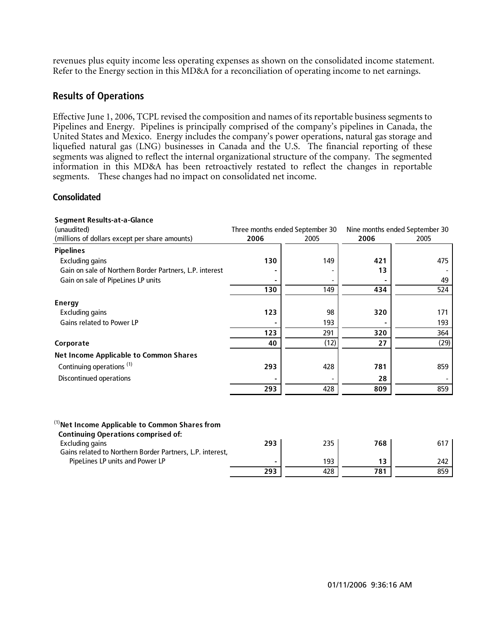revenues plus equity income less operating expenses as shown on the consolidated income statement. Refer to the Energy section in this MD&A for a reconciliation of operating income to net earnings.

## **Results of Operations**

Effective June 1, 2006, TCPL revised the composition and names of its reportable business segments to Pipelines and Energy. Pipelines is principally comprised of the company's pipelines in Canada, the United States and Mexico. Energy includes the company's power operations, natural gas storage and liquefied natural gas (LNG) businesses in Canada and the U.S. The financial reporting of these segments was aligned to reflect the internal organizational structure of the company. The segmented information in this MD&A has been retroactively restated to reflect the changes in reportable segments. These changes had no impact on consolidated net income.

#### **Consolidated**

| <b>Segment Results-at-a-Glance</b>                      |      |                                 |      |                                |  |  |
|---------------------------------------------------------|------|---------------------------------|------|--------------------------------|--|--|
| (unaudited)                                             |      | Three months ended September 30 |      | Nine months ended September 30 |  |  |
| (millions of dollars except per share amounts)          | 2006 | 2005                            | 2006 | 2005                           |  |  |
| <b>Pipelines</b>                                        |      |                                 |      |                                |  |  |
| <b>Excluding gains</b>                                  | 130  | 149                             | 421  | 475                            |  |  |
| Gain on sale of Northern Border Partners, L.P. interest |      |                                 | 13   |                                |  |  |
| Gain on sale of PipeLines LP units                      |      |                                 |      | 49                             |  |  |
|                                                         | 130  | 149                             | 434  | 524                            |  |  |
| <b>Energy</b>                                           |      |                                 |      |                                |  |  |
| <b>Excluding gains</b>                                  | 123  | 98                              | 320  | 171                            |  |  |
| Gains related to Power LP                               |      | 193                             |      | 193                            |  |  |
|                                                         | 123  | 291                             | 320  | 364                            |  |  |
| Corporate                                               | 40   | (12)                            | 27   | (29)                           |  |  |
| <b>Net Income Applicable to Common Shares</b>           |      |                                 |      |                                |  |  |
| Continuing operations <sup>(1)</sup>                    | 293  | 428                             | 781  | 859                            |  |  |
| Discontinued operations                                 |      |                                 | 28   |                                |  |  |
|                                                         | 293  | 428                             | 809  | 859                            |  |  |

| $^{(1)}$ Net Income Applicable to Common Shares from<br><b>Continuing Operations comprised of:</b> |     |     |     |     |
|----------------------------------------------------------------------------------------------------|-----|-----|-----|-----|
| Excluding gains                                                                                    | 293 | 235 | 768 | 617 |
| Gains related to Northern Border Partners, L.P. interest,                                          |     |     |     |     |
| PipeLines LP units and Power LP                                                                    |     | 193 | 13  | 242 |
|                                                                                                    | 293 | 428 | 781 | 859 |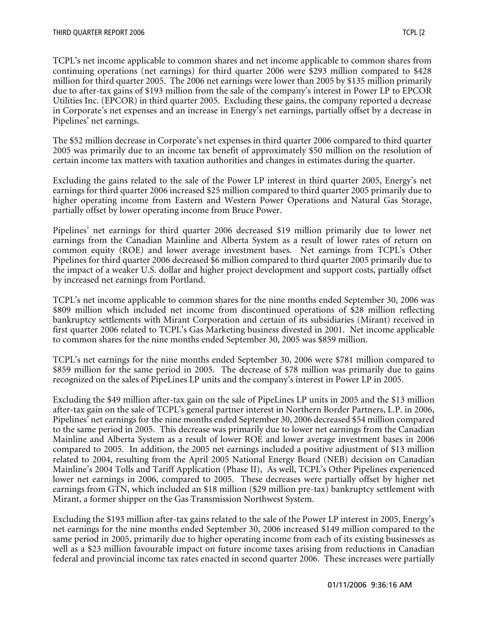TCPL's net income applicable to common shares and net income applicable to common shares from continuing operations (net earnings) for third quarter 2006 were \$293 million compared to \$428 million for third quarter 2005. The 2006 net earnings were lower than 2005 by \$135 million primarily due to after-tax gains of \$193 million from the sale of the company's interest in Power LP to EPCOR Utilities Inc. (EPCOR) in third quarter 2005. Excluding these gains, the company reported a decrease in Corporate's net expenses and an increase in Energy's net earnings, partially offset by a decrease in Pipelines' net earnings.

The \$52 million decrease in Corporate's net expenses in third quarter 2006 compared to third quarter 2005 was primarily due to an income tax benefit of approximately \$50 million on the resolution of certain income tax matters with taxation authorities and changes in estimates during the quarter.

Excluding the gains related to the sale of the Power LP interest in third quarter 2005, Energy's net earnings for third quarter 2006 increased \$25 million compared to third quarter 2005 primarily due to higher operating income from Eastern and Western Power Operations and Natural Gas Storage, partially offset by lower operating income from Bruce Power.

Pipelines' net earnings for third quarter 2006 decreased \$19 million primarily due to lower net earnings from the Canadian Mainline and Alberta System as a result of lower rates of return on common equity (ROE) and lower average investment bases. Net earnings from TCPL's Other Pipelines for third quarter 2006 decreased \$6 million compared to third quarter 2005 primarily due to the impact of a weaker U.S. dollar and higher project development and support costs, partially offset by increased net earnings from Portland.

TCPL's net income applicable to common shares for the nine months ended September 30, 2006 was \$809 million which included net income from discontinued operations of \$28 million reflecting bankruptcy settlements with Mirant Corporation and certain of its subsidiaries (Mirant) received in first quarter 2006 related to TCPL's Gas Marketing business divested in 2001. Net income applicable to common shares for the nine months ended September 30, 2005 was \$859 million.

TCPL's net earnings for the nine months ended September 30, 2006 were \$781 million compared to \$859 million for the same period in 2005. The decrease of \$78 million was primarily due to gains recognized on the sales of PipeLines LP units and the company's interest in Power LP in 2005.

Excluding the \$49 million after-tax gain on the sale of PipeLines LP units in 2005 and the \$13 million after-tax gain on the sale of TCPL's general partner interest in Northern Border Partners, L.P. in 2006, Pipelines' net earnings for the nine months ended September 30, 2006 decreased \$54 million compared to the same period in 2005. This decrease was primarily due to lower net earnings from the Canadian Mainline and Alberta System as a result of lower ROE and lower average investment bases in 2006 compared to 2005. In addition, the 2005 net earnings included a positive adjustment of \$13 million related to 2004, resulting from the April 2005 National Energy Board (NEB) decision on Canadian Mainline's 2004 Tolls and Tariff Application (Phase II), As well, TCPL's Other Pipelines experienced lower net earnings in 2006, compared to 2005. These decreases were partially offset by higher net earnings from GTN, which included an \$18 million (\$29 million pre-tax) bankruptcy settlement with Mirant, a former shipper on the Gas Transmission Northwest System.

Excluding the \$193 million after-tax gains related to the sale of the Power LP interest in 2005, Energy's net earnings for the nine months ended September 30, 2006 increased \$149 million compared to the same period in 2005, primarily due to higher operating income from each of its existing businesses as well as a \$23 million favourable impact on future income taxes arising from reductions in Canadian federal and provincial income tax rates enacted in second quarter 2006. These increases were partially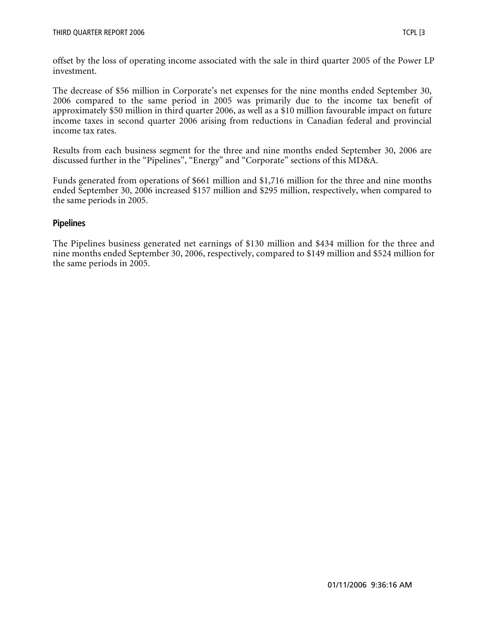offset by the loss of operating income associated with the sale in third quarter 2005 of the Power LP investment.

The decrease of \$56 million in Corporate's net expenses for the nine months ended September 30, 2006 compared to the same period in 2005 was primarily due to the income tax benefit of approximately \$50 million in third quarter 2006, as well as a \$10 million favourable impact on future income taxes in second quarter 2006 arising from reductions in Canadian federal and provincial income tax rates.

Results from each business segment for the three and nine months ended September 30, 2006 are discussed further in the "Pipelines", "Energy" and "Corporate" sections of this MD&A.

Funds generated from operations of \$661 million and \$1,716 million for the three and nine months ended September 30, 2006 increased \$157 million and \$295 million, respectively, when compared to the same periods in 2005.

## **Pipelines**

The Pipelines business generated net earnings of \$130 million and \$434 million for the three and nine months ended September 30, 2006, respectively, compared to \$149 million and \$524 million for the same periods in 2005.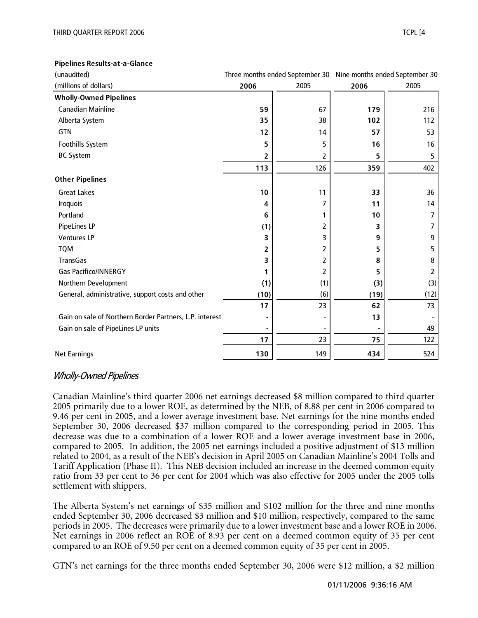#### **Pipelines Results-at-a-Glance**

| (unaudited)                                             | Three months ended September 30 Nine months ended September 30 |      |      |      |
|---------------------------------------------------------|----------------------------------------------------------------|------|------|------|
| (millions of dollars)                                   | 2006                                                           | 2005 | 2006 | 2005 |
| <b>Wholly-Owned Pipelines</b>                           |                                                                |      |      |      |
| <b>Canadian Mainline</b>                                | 59                                                             | 67   | 179  | 216  |
| Alberta System                                          | 35                                                             | 38   | 102  | 112  |
| GTN                                                     | 12                                                             | 14   | 57   | 53   |
| Foothills System                                        | 5                                                              | 5    | 16   | 16   |
| <b>BC System</b>                                        | 2                                                              | 2    | 5    | 5    |
|                                                         | 113                                                            | 126  | 359  | 402  |
| <b>Other Pipelines</b>                                  |                                                                |      |      |      |
| <b>Great Lakes</b>                                      | 10                                                             | 11   | 33   | 36   |
| <b>Iroquois</b>                                         | 4                                                              | 7    | 11   | 14   |
| Portland                                                | 6                                                              | 1    | 10   | 7    |
| PipeLines LP                                            | (1)                                                            | 2    | 3    | 7    |
| <b>Ventures LP</b>                                      | 3                                                              | 3    | 9    | 9    |
| <b>TQM</b>                                              | 2                                                              | 2    | 5    | 5    |
| <b>TransGas</b>                                         | 3                                                              | 2    | 8    | 8    |
| <b>Gas Pacifico/INNERGY</b>                             |                                                                | 2    | 5    | 2    |
| Northern Development                                    | (1)                                                            | (1)  | (3)  | (3)  |
| General, administrative, support costs and other        | (10)                                                           | (6)  | (19) | (12) |
|                                                         | 17                                                             | 23   | 62   | 73   |
| Gain on sale of Northern Border Partners, L.P. interest |                                                                |      | 13   |      |
| Gain on sale of PipeLines LP units                      |                                                                |      |      | 49   |
|                                                         | 17                                                             | 23   | 75   | 122  |
| <b>Net Earnings</b>                                     | 130                                                            | 149  | 434  | 524  |

#### Wholly-Owned Pipelines

Canadian Mainline's third quarter 2006 net earnings decreased \$8 million compared to third quarter 2005 primarily due to a lower ROE, as determined by the NEB, of 8.88 per cent in 2006 compared to 9.46 per cent in 2005, and a lower average investment base. Net earnings for the nine months ended September 30, 2006 decreased \$37 million compared to the corresponding period in 2005. This decrease was due to a combination of a lower ROE and a lower average investment base in 2006, compared to 2005. In addition, the 2005 net earnings included a positive adjustment of \$13 million related to 2004, as a result of the NEB's decision in April 2005 on Canadian Mainline's 2004 Tolls and Tariff Application (Phase II). This NEB decision included an increase in the deemed common equity ratio from 33 per cent to 36 per cent for 2004 which was also effective for 2005 under the 2005 tolls settlement with shippers.

The Alberta System's net earnings of \$35 million and \$102 million for the three and nine months ended September 30, 2006 decreased \$3 million and \$10 million, respectively, compared to the same periods in 2005. The decreases were primarily due to a lower investment base and a lower ROE in 2006. Net earnings in 2006 reflect an ROE of 8.93 per cent on a deemed common equity of 35 per cent compared to an ROE of 9.50 per cent on a deemed common equity of 35 per cent in 2005.

GTN's net earnings for the three months ended September 30, 2006 were \$12 million, a \$2 million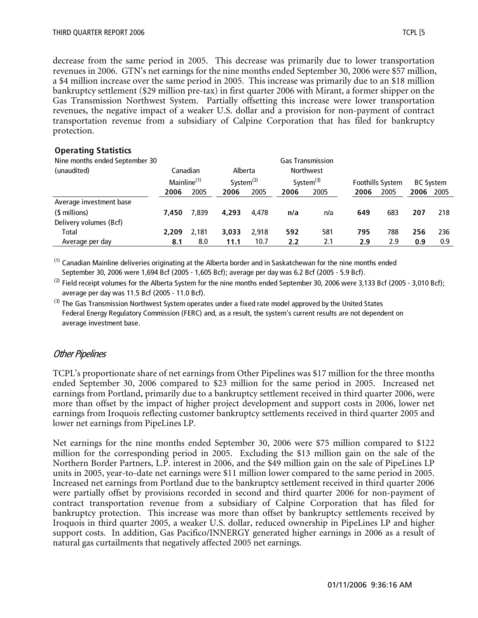decrease from the same period in 2005. This decrease was primarily due to lower transportation revenues in 2006. GTN's net earnings for the nine months ended September 30, 2006 were \$57 million, a \$4 million increase over the same period in 2005. This increase was primarily due to an \$18 million bankruptcy settlement (\$29 million pre-tax) in first quarter 2006 with Mirant, a former shipper on the Gas Transmission Northwest System. Partially offsetting this increase were lower transportation revenues, the negative impact of a weaker U.S. dollar and a provision for non-payment of contract transportation revenue from a subsidiary of Calpine Corporation that has filed for bankruptcy protection.

#### **Operating Statistics**

| Nine months ended September 30 |                         |       |              |       |      | <b>Gas Transmission</b> |      |                  |                  |      |
|--------------------------------|-------------------------|-------|--------------|-------|------|-------------------------|------|------------------|------------------|------|
| (unaudited)                    | Canadian                |       | Alberta      |       |      | <b>Northwest</b>        |      |                  |                  |      |
|                                | Mainline <sup>(1)</sup> |       | System $(2)$ |       |      | System $^{(3)}$         |      | Foothills System | <b>BC System</b> |      |
|                                | 2006                    | 2005  | 2006         | 2005  | 2006 | 2005                    | 2006 | 2005             | 2006             | 2005 |
| Average investment base        |                         |       |              |       |      |                         |      |                  |                  |      |
| (\$ millions)                  | 7.450                   | 7.839 | 4.293        | 4.478 | n/a  | n/a                     | 649  | 683              | 207              | 218  |
| Delivery volumes (Bcf)         |                         |       |              |       |      |                         |      |                  |                  |      |
| Total                          | 2,209                   | 2.181 | 3.033        | 2.918 | 592  | 581                     | 795  | 788              | 256              | 236  |
| Average per day                | 8.1                     | 8.0   | 11.1         | 10.7  | 2.2  | 2.1                     | 2.9  | 2.9              | 0.9              | 0.9  |

 $^{(1)}$  Canadian Mainline deliveries originating at the Alberta border and in Saskatchewan for the nine months ended September 30, 2006 were 1,694 Bcf (2005 - 1,605 Bcf); average per day was 6.2 Bcf (2005 - 5.9 Bcf).

 $(2)$  Field receipt volumes for the Alberta System for the nine months ended September 30, 2006 were 3,133 Bcf (2005 - 3,010 Bcf); average per day was 11.5 Bcf (2005 - 11.0 Bcf).

 $<sup>(3)</sup>$  The Gas Transmission Northwest System operates under a fixed rate model approved by the United States</sup> Federal Energy Regulatory Commission (FERC) and, as a result, the system's current results are not dependent on average investment base.

## Other Pipelines

TCPL's proportionate share of net earnings from Other Pipelines was \$17 million for the three months ended September 30, 2006 compared to \$23 million for the same period in 2005. Increased net earnings from Portland, primarily due to a bankruptcy settlement received in third quarter 2006, were more than offset by the impact of higher project development and support costs in 2006, lower net earnings from Iroquois reflecting customer bankruptcy settlements received in third quarter 2005 and lower net earnings from PipeLines LP.

Net earnings for the nine months ended September 30, 2006 were \$75 million compared to \$122 million for the corresponding period in 2005. Excluding the \$13 million gain on the sale of the Northern Border Partners, L.P. interest in 2006, and the \$49 million gain on the sale of PipeLines LP units in 2005, year-to-date net earnings were \$11 million lower compared to the same period in 2005. Increased net earnings from Portland due to the bankruptcy settlement received in third quarter 2006 were partially offset by provisions recorded in second and third quarter 2006 for non-payment of contract transportation revenue from a subsidiary of Calpine Corporation that has filed for bankruptcy protection. This increase was more than offset by bankruptcy settlements received by Iroquois in third quarter 2005, a weaker U.S. dollar, reduced ownership in PipeLines LP and higher support costs. In addition, Gas Pacifico/INNERGY generated higher earnings in 2006 as a result of natural gas curtailments that negatively affected 2005 net earnings.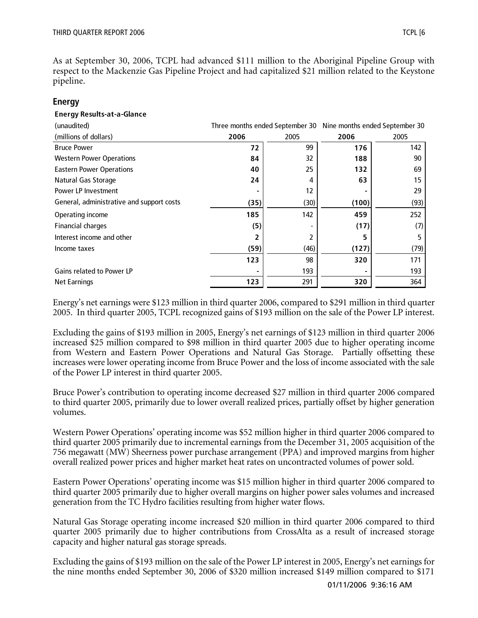As at September 30, 2006, TCPL had advanced \$111 million to the Aboriginal Pipeline Group with respect to the Mackenzie Gas Pipeline Project and had capitalized \$21 million related to the Keystone pipeline.

#### **Energy**

#### **Energy Results-at-a-Glance**

| (unaudited)                               |      |      | Three months ended September 30 Nine months ended September 30 |      |
|-------------------------------------------|------|------|----------------------------------------------------------------|------|
| (millions of dollars)                     | 2006 | 2005 | 2006                                                           | 2005 |
| <b>Bruce Power</b>                        | 72   | 99   | 176                                                            | 142  |
| <b>Western Power Operations</b>           | 84   | 32   | 188                                                            | 90   |
| <b>Eastern Power Operations</b>           | 40   | 25   | 132                                                            | 69   |
| Natural Gas Storage                       | 24   | 4    | 63                                                             | 15   |
| Power LP Investment                       |      | 12   |                                                                | 29   |
| General, administrative and support costs | (35) | (30) | (100)                                                          | (93) |
| Operating income                          | 185  | 142  | 459                                                            | 252  |
| <b>Financial charges</b>                  | (5)  |      | (17)                                                           | (7)  |
| Interest income and other                 | 2    |      | 5                                                              |      |
| Income taxes                              | (59) | (46) | (127)                                                          | (79) |
|                                           | 123  | 98   | 320                                                            | 171  |
| <b>Gains related to Power LP</b>          |      | 193  |                                                                | 193  |
| <b>Net Earnings</b>                       | 123  | 291  | 320                                                            | 364  |

Energy's net earnings were \$123 million in third quarter 2006, compared to \$291 million in third quarter 2005. In third quarter 2005, TCPL recognized gains of \$193 million on the sale of the Power LP interest.

Excluding the gains of \$193 million in 2005, Energy's net earnings of \$123 million in third quarter 2006 increased \$25 million compared to \$98 million in third quarter 2005 due to higher operating income from Western and Eastern Power Operations and Natural Gas Storage. Partially offsetting these increases were lower operating income from Bruce Power and the loss of income associated with the sale of the Power LP interest in third quarter 2005.

Bruce Power's contribution to operating income decreased \$27 million in third quarter 2006 compared to third quarter 2005, primarily due to lower overall realized prices, partially offset by higher generation volumes.

Western Power Operations' operating income was \$52 million higher in third quarter 2006 compared to third quarter 2005 primarily due to incremental earnings from the December 31, 2005 acquisition of the 756 megawatt (MW) Sheerness power purchase arrangement (PPA) and improved margins from higher overall realized power prices and higher market heat rates on uncontracted volumes of power sold.

Eastern Power Operations' operating income was \$15 million higher in third quarter 2006 compared to third quarter 2005 primarily due to higher overall margins on higher power sales volumes and increased generation from the TC Hydro facilities resulting from higher water flows.

Natural Gas Storage operating income increased \$20 million in third quarter 2006 compared to third quarter 2005 primarily due to higher contributions from CrossAlta as a result of increased storage capacity and higher natural gas storage spreads.

Excluding the gains of \$193 million on the sale of the Power LP interest in 2005, Energy's net earnings for the nine months ended September 30, 2006 of \$320 million increased \$149 million compared to \$171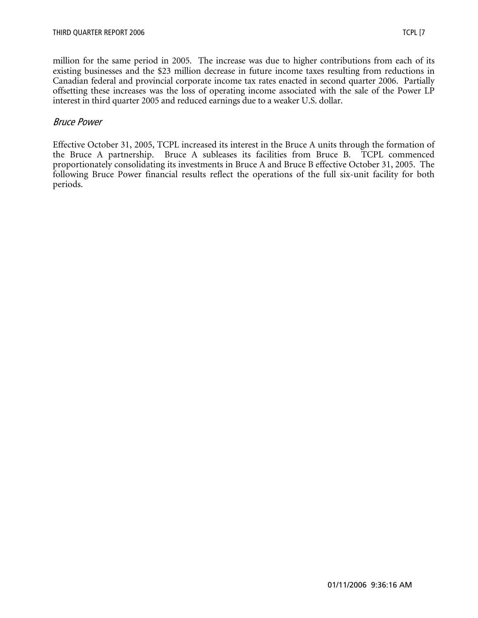million for the same period in 2005. The increase was due to higher contributions from each of its existing businesses and the \$23 million decrease in future income taxes resulting from reductions in Canadian federal and provincial corporate income tax rates enacted in second quarter 2006. Partially offsetting these increases was the loss of operating income associated with the sale of the Power LP interest in third quarter 2005 and reduced earnings due to a weaker U.S. dollar.

## Bruce Power

Effective October 31, 2005, TCPL increased its interest in the Bruce A units through the formation of the Bruce A partnership. Bruce A subleases its facilities from Bruce B. TCPL commenced proportionately consolidating its investments in Bruce A and Bruce B effective October 31, 2005. The following Bruce Power financial results reflect the operations of the full six-unit facility for both periods.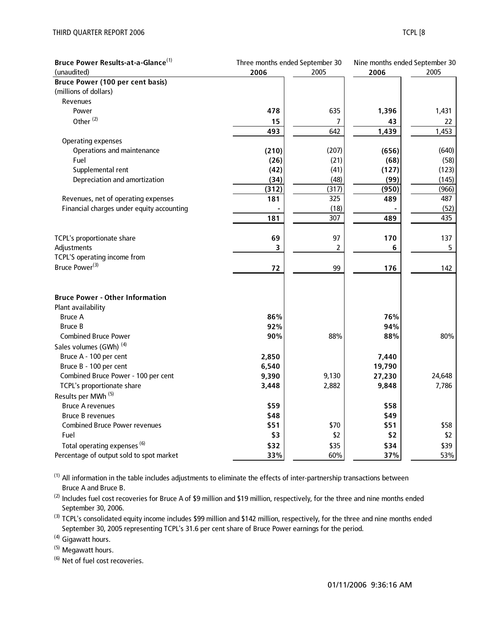| Bruce Power Results-at-a-Glance <sup>(1)</sup> | Three months ended September 30 |       | Nine months ended September 30 |        |  |
|------------------------------------------------|---------------------------------|-------|--------------------------------|--------|--|
| (unaudited)                                    | 2006                            | 2005  | 2006                           | 2005   |  |
| <b>Bruce Power (100 per cent basis)</b>        |                                 |       |                                |        |  |
| (millions of dollars)                          |                                 |       |                                |        |  |
| Revenues                                       |                                 |       |                                |        |  |
| Power                                          | 478                             | 635   | 1,396                          | 1,431  |  |
| Other <sup>(2)</sup>                           | 15                              | 7     | 43                             | 22     |  |
|                                                | 493                             | 642   | 1,439                          | 1,453  |  |
| <b>Operating expenses</b>                      |                                 |       |                                |        |  |
| Operations and maintenance                     | (210)                           | (207) | (656)                          | (640)  |  |
| Fuel                                           | (26)                            | (21)  | (68)                           | (58)   |  |
| Supplemental rent                              | (42)                            | (41)  | (127)                          | (123)  |  |
| Depreciation and amortization                  | (34)                            | (48)  | (99)                           | (145)  |  |
|                                                | (312)                           | (317) | (950)                          | (966)  |  |
| Revenues, net of operating expenses            | 181                             | 325   | 489                            | 487    |  |
| Financial charges under equity accounting      |                                 | (18)  |                                | (52)   |  |
|                                                | 181                             | 307   | 489                            | 435    |  |
| TCPL's proportionate share                     | 69                              | 97    | 170                            | 137    |  |
| Adjustments                                    | 3                               | 2     | 6                              | 5      |  |
| TCPL'S operating income from                   |                                 |       |                                |        |  |
| Bruce Power <sup>(3)</sup>                     | 72                              | 99    | 176                            | 142    |  |
| <b>Bruce Power - Other Information</b>         |                                 |       |                                |        |  |
| Plant availability                             |                                 |       |                                |        |  |
| <b>Bruce A</b>                                 | 86%                             |       | 76%                            |        |  |
| <b>Bruce B</b>                                 | 92%                             |       | 94%                            |        |  |
| <b>Combined Bruce Power</b>                    | 90%                             | 88%   | 88%                            | 80%    |  |
| Sales volumes (GWh) <sup>(4)</sup>             |                                 |       |                                |        |  |
| Bruce A - 100 per cent                         | 2,850                           |       | 7,440                          |        |  |
| Bruce B - 100 per cent                         | 6,540                           |       | 19,790                         |        |  |
| Combined Bruce Power - 100 per cent            | 9,390                           | 9,130 | 27,230                         | 24,648 |  |
| TCPL's proportionate share                     | 3,448                           | 2,882 | 9,848                          | 7,786  |  |
| Results per MWh <sup>(5)</sup>                 |                                 |       |                                |        |  |
| <b>Bruce A revenues</b>                        | \$59                            |       | \$58                           |        |  |
| <b>Bruce B revenues</b>                        | \$48                            |       | \$49                           |        |  |
| <b>Combined Bruce Power revenues</b>           | \$51                            | \$70  | \$51                           | \$58   |  |
| Fuel                                           | \$3                             | \$2   | \$2                            | \$2    |  |
| Total operating expenses <sup>(6)</sup>        | \$32                            | \$35  | \$34                           | \$39   |  |
| Percentage of output sold to spot market       | 33%                             | 60%   | 37%                            | 53%    |  |

 $(1)$  All information in the table includes adjustments to eliminate the effects of inter-partnership transactions between Bruce A and Bruce B.

<sup>(2)</sup> Includes fuel cost recoveries for Bruce A of \$9 million and \$19 million, respectively, for the three and nine months ended September 30, 2006.

<sup>(3)</sup> TCPL's consolidated equity income includes \$99 million and \$142 million, respectively, for the three and nine months ended September 30, 2005 representing TCPL's 31.6 per cent share of Bruce Power earnings for the period.

(4) Gigawatt hours.

(5) Megawatt hours.

(6) Net of fuel cost recoveries.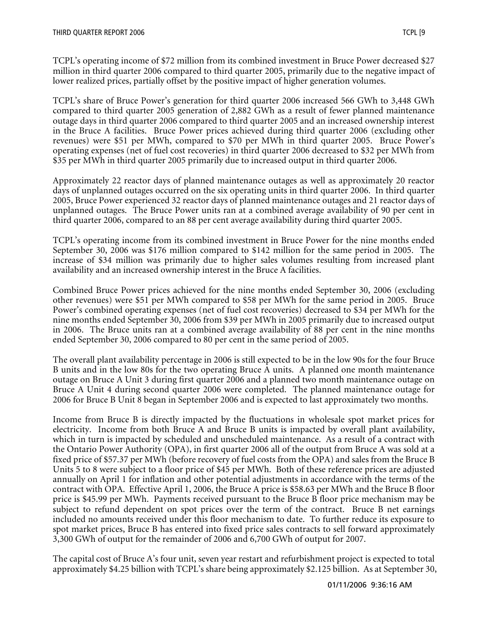TCPL's operating income of \$72 million from its combined investment in Bruce Power decreased \$27 million in third quarter 2006 compared to third quarter 2005, primarily due to the negative impact of lower realized prices, partially offset by the positive impact of higher generation volumes.

TCPL's share of Bruce Power's generation for third quarter 2006 increased 566 GWh to 3,448 GWh compared to third quarter 2005 generation of 2,882 GWh as a result of fewer planned maintenance outage days in third quarter 2006 compared to third quarter 2005 and an increased ownership interest in the Bruce A facilities. Bruce Power prices achieved during third quarter 2006 (excluding other revenues) were \$51 per MWh, compared to \$70 per MWh in third quarter 2005. Bruce Power's operating expenses (net of fuel cost recoveries) in third quarter 2006 decreased to \$32 per MWh from \$35 per MWh in third quarter 2005 primarily due to increased output in third quarter 2006.

Approximately 22 reactor days of planned maintenance outages as well as approximately 20 reactor days of unplanned outages occurred on the six operating units in third quarter 2006. In third quarter 2005, Bruce Power experienced 32 reactor days of planned maintenance outages and 21 reactor days of unplanned outages. The Bruce Power units ran at a combined average availability of 90 per cent in third quarter 2006, compared to an 88 per cent average availability during third quarter 2005.

TCPL's operating income from its combined investment in Bruce Power for the nine months ended September 30, 2006 was \$176 million compared to \$142 million for the same period in 2005. The increase of \$34 million was primarily due to higher sales volumes resulting from increased plant availability and an increased ownership interest in the Bruce A facilities.

Combined Bruce Power prices achieved for the nine months ended September 30, 2006 (excluding other revenues) were \$51 per MWh compared to \$58 per MWh for the same period in 2005. Bruce Power's combined operating expenses (net of fuel cost recoveries) decreased to \$34 per MWh for the nine months ended September 30, 2006 from \$39 per MWh in 2005 primarily due to increased output in 2006. The Bruce units ran at a combined average availability of 88 per cent in the nine months ended September 30, 2006 compared to 80 per cent in the same period of 2005.

The overall plant availability percentage in 2006 is still expected to be in the low 90s for the four Bruce B units and in the low 80s for the two operating Bruce A units. A planned one month maintenance outage on Bruce A Unit 3 during first quarter 2006 and a planned two month maintenance outage on Bruce A Unit 4 during second quarter 2006 were completed. The planned maintenance outage for 2006 for Bruce B Unit 8 began in September 2006 and is expected to last approximately two months.

Income from Bruce B is directly impacted by the fluctuations in wholesale spot market prices for electricity. Income from both Bruce A and Bruce B units is impacted by overall plant availability, which in turn is impacted by scheduled and unscheduled maintenance. As a result of a contract with the Ontario Power Authority (OPA), in first quarter 2006 all of the output from Bruce A was sold at a fixed price of \$57.37 per MWh (before recovery of fuel costs from the OPA) and sales from the Bruce B Units 5 to 8 were subject to a floor price of \$45 per MWh. Both of these reference prices are adjusted annually on April 1 for inflation and other potential adjustments in accordance with the terms of the contract with OPA. Effective April 1, 2006, the Bruce A price is \$58.63 per MWh and the Bruce B floor price is \$45.99 per MWh. Payments received pursuant to the Bruce B floor price mechanism may be subject to refund dependent on spot prices over the term of the contract. Bruce B net earnings included no amounts received under this floor mechanism to date. To further reduce its exposure to spot market prices, Bruce B has entered into fixed price sales contracts to sell forward approximately 3,300 GWh of output for the remainder of 2006 and 6,700 GWh of output for 2007.

The capital cost of Bruce A's four unit, seven year restart and refurbishment project is expected to total approximately \$4.25 billion with TCPL's share being approximately \$2.125 billion. As at September 30,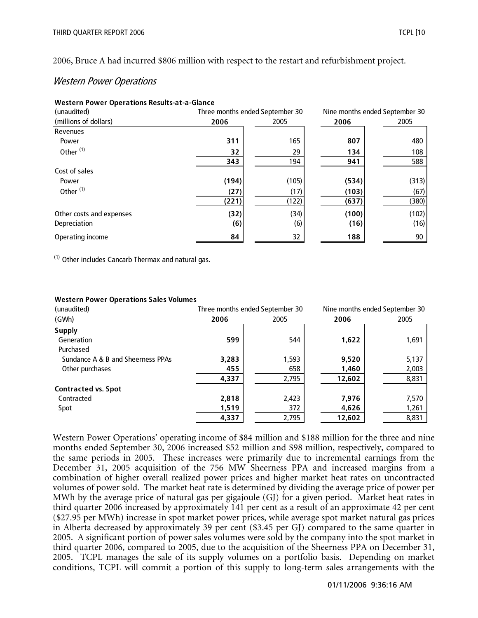2006, Bruce A had incurred \$806 million with respect to the restart and refurbishment project.

## Western Power Operations

| <b>Western Power Operations Results-at-a-Glance</b> |       |                                 |       |                                |
|-----------------------------------------------------|-------|---------------------------------|-------|--------------------------------|
| (unaudited)                                         |       | Three months ended September 30 |       | Nine months ended September 30 |
| (millions of dollars)                               | 2006  | 2005                            | 2006  | 2005                           |
| Revenues                                            |       |                                 |       |                                |
| Power                                               | 311   | 165                             | 807   | 480                            |
| Other <sup>(1)</sup>                                | 32    | 29                              | 134   | 108                            |
|                                                     | 343   | 194                             | 941   | 588                            |
| Cost of sales                                       |       |                                 |       |                                |
| Power                                               | (194) | (105)                           | (534) | (313)                          |
| Other <sup>(1)</sup>                                | (27)  | (17)                            | (103) | (67)                           |
|                                                     | (221) | (122)                           | (637) | (380)                          |
| Other costs and expenses                            | (32)  | (34)                            | (100) | (102)                          |
| Depreciation                                        | (6)   | (6)                             | (16)  | (16)                           |
| Operating income                                    | 84    | 32                              | 188   | 90                             |

 $(1)$  Other includes Cancarb Thermax and natural gas.

#### **Western Power Operations Sales Volumes**

| (unaudited)                       |       | Three months ended September 30 |        | Nine months ended September 30 |
|-----------------------------------|-------|---------------------------------|--------|--------------------------------|
| (GWh)                             | 2006  | 2005                            | 2006   | 2005                           |
| <b>Supply</b>                     |       |                                 |        |                                |
| Generation                        | 599   | 544                             | 1,622  | 1,691                          |
| Purchased                         |       |                                 |        |                                |
| Sundance A & B and Sheerness PPAs | 3,283 | 1,593                           | 9,520  | 5,137                          |
| Other purchases                   | 455   | 658                             | 1,460  | 2,003                          |
|                                   | 4,337 | 2,795                           | 12,602 | 8,831                          |
| <b>Contracted vs. Spot</b>        |       |                                 |        |                                |
| Contracted                        | 2,818 | 2,423                           | 7.976  | 7,570                          |
| Spot                              | 1,519 | 372                             | 4,626  | 1,261                          |
|                                   | 4,337 | 2,795                           | 12,602 | 8,831                          |

Western Power Operations' operating income of \$84 million and \$188 million for the three and nine months ended September 30, 2006 increased \$52 million and \$98 million, respectively, compared to the same periods in 2005. These increases were primarily due to incremental earnings from the December 31, 2005 acquisition of the 756 MW Sheerness PPA and increased margins from a combination of higher overall realized power prices and higher market heat rates on uncontracted volumes of power sold. The market heat rate is determined by dividing the average price of power per MWh by the average price of natural gas per gigajoule (GJ) for a given period. Market heat rates in third quarter 2006 increased by approximately 141 per cent as a result of an approximate 42 per cent (\$27.95 per MWh) increase in spot market power prices, while average spot market natural gas prices in Alberta decreased by approximately 39 per cent (\$3.45 per GJ) compared to the same quarter in 2005. A significant portion of power sales volumes were sold by the company into the spot market in third quarter 2006, compared to 2005, due to the acquisition of the Sheerness PPA on December 31, 2005. TCPL manages the sale of its supply volumes on a portfolio basis. Depending on market conditions, TCPL will commit a portion of this supply to long-term sales arrangements with the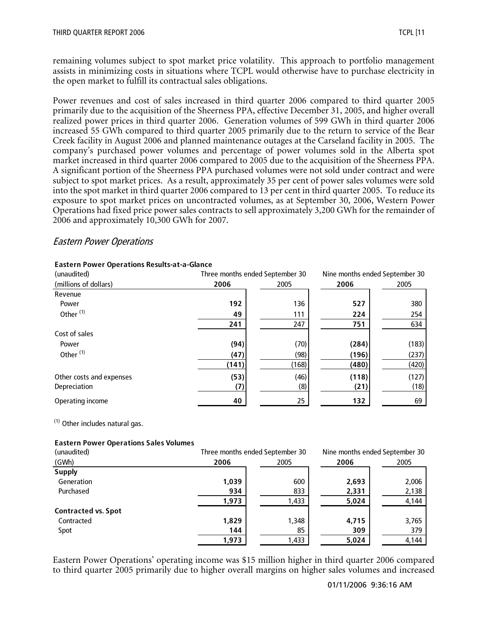remaining volumes subject to spot market price volatility. This approach to portfolio management assists in minimizing costs in situations where TCPL would otherwise have to purchase electricity in the open market to fulfill its contractual sales obligations.

Power revenues and cost of sales increased in third quarter 2006 compared to third quarter 2005 primarily due to the acquisition of the Sheerness PPA, effective December 31, 2005, and higher overall realized power prices in third quarter 2006. Generation volumes of 599 GWh in third quarter 2006 increased 55 GWh compared to third quarter 2005 primarily due to the return to service of the Bear Creek facility in August 2006 and planned maintenance outages at the Carseland facility in 2005. The company's purchased power volumes and percentage of power volumes sold in the Alberta spot market increased in third quarter 2006 compared to 2005 due to the acquisition of the Sheerness PPA. A significant portion of the Sheerness PPA purchased volumes were not sold under contract and were subject to spot market prices. As a result, approximately 35 per cent of power sales volumes were sold into the spot market in third quarter 2006 compared to 13 per cent in third quarter 2005. To reduce its exposure to spot market prices on uncontracted volumes, as at September 30, 2006, Western Power Operations had fixed price power sales contracts to sell approximately 3,200 GWh for the remainder of 2006 and approximately 10,300 GWh for 2007.

## Eastern Power Operations

| (unaudited)              |       | Three months ended September 30 |       | Nine months ended September 30 |
|--------------------------|-------|---------------------------------|-------|--------------------------------|
| (millions of dollars)    | 2006  | 2005                            | 2006  | 2005                           |
| Revenue                  |       |                                 |       |                                |
| Power                    | 192   | 136                             | 527   | 380                            |
| Other <sup>(1)</sup>     | 49    | 111                             | 224   | 254                            |
|                          | 241   | 247                             | 751   | 634                            |
| Cost of sales            |       |                                 |       |                                |
| Power                    | (94)  | (70)                            | (284) | (183)                          |
| Other <sup>(1)</sup>     | (47)  | (98)                            | (196) | (237)                          |
|                          | (141) | (168)                           | (480) | (420)                          |
| Other costs and expenses | (53)  | (46)                            | (118) | (127)                          |
| Depreciation             | (7)   | (8)                             | (21)  | (18)                           |
| Operating income         | 40    | 25                              | 132   | 69                             |

#### **Eastern Power Operations Results-at-a-Glance**

 $(1)$  Other includes natural gas.

#### **Eastern Power Operations Sales Volumes**

| (unaudited)                |       | Three months ended September 30 | Nine months ended September 30 |       |  |
|----------------------------|-------|---------------------------------|--------------------------------|-------|--|
| (GWh)                      | 2006  | 2005                            | 2006                           | 2005  |  |
| <b>Supply</b>              |       |                                 |                                |       |  |
| Generation                 | 1,039 | 600                             | 2,693                          | 2,006 |  |
| Purchased                  | 934   | 833                             | 2,331                          | 2,138 |  |
|                            | 1,973 | 1,433                           | 5,024                          | 4,144 |  |
| <b>Contracted vs. Spot</b> |       |                                 |                                |       |  |
| Contracted                 | 1,829 | 1,348                           | 4,715                          | 3,765 |  |
| Spot                       | 144   | 85                              | 309                            | 379   |  |
|                            | 1,973 | 1,433                           | 5,024                          | 4,144 |  |

Eastern Power Operations' operating income was \$15 million higher in third quarter 2006 compared to third quarter 2005 primarily due to higher overall margins on higher sales volumes and increased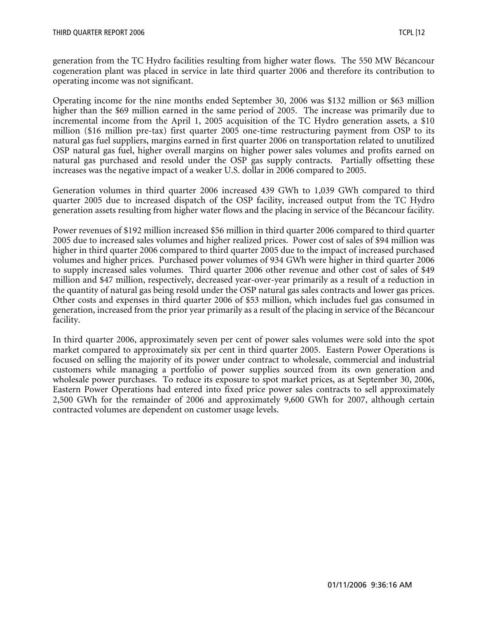generation from the TC Hydro facilities resulting from higher water flows. The 550 MW Bécancour cogeneration plant was placed in service in late third quarter 2006 and therefore its contribution to operating income was not significant.

Operating income for the nine months ended September 30, 2006 was \$132 million or \$63 million higher than the \$69 million earned in the same period of 2005. The increase was primarily due to incremental income from the April 1, 2005 acquisition of the TC Hydro generation assets, a \$10 million (\$16 million pre-tax) first quarter 2005 one-time restructuring payment from OSP to its natural gas fuel suppliers, margins earned in first quarter 2006 on transportation related to unutilized OSP natural gas fuel, higher overall margins on higher power sales volumes and profits earned on natural gas purchased and resold under the OSP gas supply contracts. Partially offsetting these increases was the negative impact of a weaker U.S. dollar in 2006 compared to 2005.

Generation volumes in third quarter 2006 increased 439 GWh to 1,039 GWh compared to third quarter 2005 due to increased dispatch of the OSP facility, increased output from the TC Hydro generation assets resulting from higher water flows and the placing in service of the Bécancour facility.

Power revenues of \$192 million increased \$56 million in third quarter 2006 compared to third quarter 2005 due to increased sales volumes and higher realized prices. Power cost of sales of \$94 million was higher in third quarter 2006 compared to third quarter 2005 due to the impact of increased purchased volumes and higher prices. Purchased power volumes of 934 GWh were higher in third quarter 2006 to supply increased sales volumes. Third quarter 2006 other revenue and other cost of sales of \$49 million and \$47 million, respectively, decreased year-over-year primarily as a result of a reduction in the quantity of natural gas being resold under the OSP natural gas sales contracts and lower gas prices. Other costs and expenses in third quarter 2006 of \$53 million, which includes fuel gas consumed in generation, increased from the prior year primarily as a result of the placing in service of the Bécancour facility.

In third quarter 2006, approximately seven per cent of power sales volumes were sold into the spot market compared to approximately six per cent in third quarter 2005. Eastern Power Operations is focused on selling the majority of its power under contract to wholesale, commercial and industrial customers while managing a portfolio of power supplies sourced from its own generation and wholesale power purchases. To reduce its exposure to spot market prices, as at September 30, 2006, Eastern Power Operations had entered into fixed price power sales contracts to sell approximately 2,500 GWh for the remainder of 2006 and approximately 9,600 GWh for 2007, although certain contracted volumes are dependent on customer usage levels.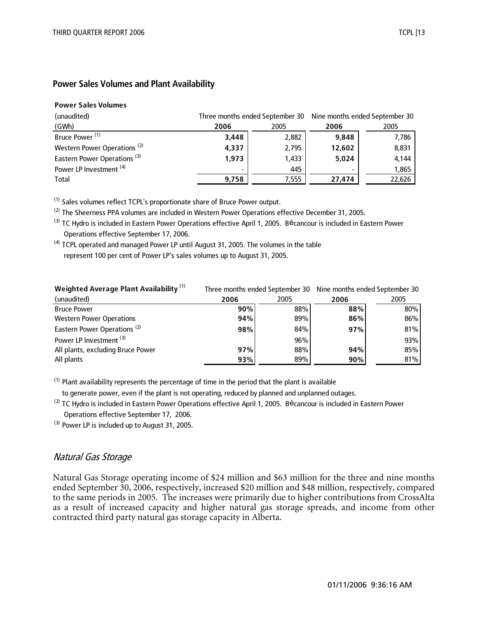#### **Power Sales Volumes and Plant Availability**

#### **Power Sales Volumes**

| (unaudited)                             | Three months ended September 30 Nine months ended September 30 |       |        |        |
|-----------------------------------------|----------------------------------------------------------------|-------|--------|--------|
| (GWh)                                   | 2006                                                           | 2005  | 2006   | 2005   |
| Bruce Power <sup>(1)</sup>              | 3,448                                                          | 2,882 | 9,848  | 7,786  |
| Western Power Operations <sup>(2)</sup> | 4,337                                                          | 2,795 | 12,602 | 8,831  |
| Eastern Power Operations <sup>(3)</sup> | 1.973                                                          | 1,433 | 5,024  | 4,144  |
| Power LP Investment <sup>(4)</sup>      |                                                                | 445   |        | 1,865  |
| Total                                   | 9,758                                                          | 7,555 | 27,474 | 22,626 |

(1) Sales volumes reflect TCPL's proportionate share of Bruce Power output.

<sup>(2)</sup> The Sheerness PPA volumes are included in Western Power Operations effective December 31, 2005.

<sup>(3)</sup> TC Hydro is included in Eastern Power Operations effective April 1, 2005. Bécancour is included in Eastern Power Operations effective September 17, 2006.

 $(4)$  TCPL operated and managed Power LP until August 31, 2005. The volumes in the table represent 100 per cent of Power LP's sales volumes up to August 31, 2005.

| <b>Weighted Average Plant Availability</b> <sup>(1)</sup> |      |      | Three months ended September 30 Nine months ended September 30 |      |  |
|-----------------------------------------------------------|------|------|----------------------------------------------------------------|------|--|
| (unaudited)                                               | 2006 | 2005 | 2006                                                           | 2005 |  |
| <b>Bruce Power</b>                                        | 90%  | 88%  | 88%                                                            | 80%  |  |
| <b>Western Power Operations</b>                           | 94%  | 89%  | 86%                                                            | 86%  |  |
| Eastern Power Operations <sup>(2)</sup>                   | 98%  | 84%  | 97%                                                            | 81%  |  |
| Power LP Investment <sup>(3)</sup>                        |      | 96%  |                                                                | 93%  |  |
| All plants, excluding Bruce Power                         | 97%  | 88%  | 94%                                                            | 85%  |  |
| All plants                                                | 93%  | 89%  | 90%                                                            | 81%  |  |

 $<sup>(1)</sup>$  Plant availability represents the percentage of time in the period that the plant is available</sup>

to generate power, even if the plant is not operating, reduced by planned and unplanned outages.

 $^{(2)}$  TC Hydro is included in Eastern Power Operations effective April 1, 2005. Bécancour is included in Eastern Power Operations effective September 17, 2006.

<sup>(3)</sup> Power LP is included up to August 31, 2005.

## Natural Gas Storage

Natural Gas Storage operating income of \$24 million and \$63 million for the three and nine months ended September 30, 2006, respectively, increased \$20 million and \$48 million, respectively, compared to the same periods in 2005. The increases were primarily due to higher contributions from CrossAlta as a result of increased capacity and higher natural gas storage spreads, and income from other contracted third party natural gas storage capacity in Alberta.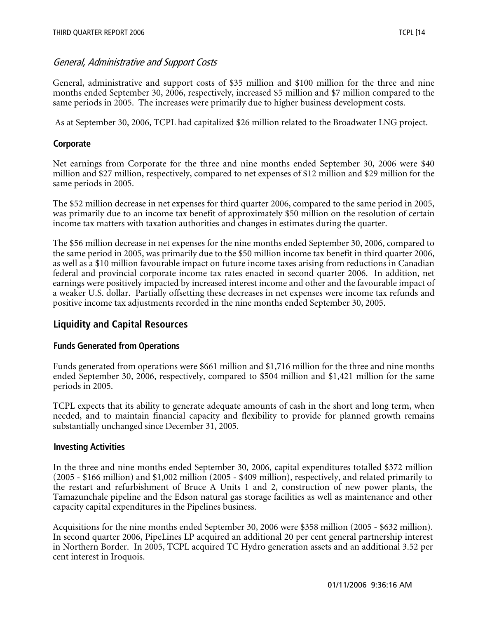## General, Administrative and Support Costs

General, administrative and support costs of \$35 million and \$100 million for the three and nine months ended September 30, 2006, respectively, increased \$5 million and \$7 million compared to the same periods in 2005. The increases were primarily due to higher business development costs.

As at September 30, 2006, TCPL had capitalized \$26 million related to the Broadwater LNG project.

#### **Corporate**

Net earnings from Corporate for the three and nine months ended September 30, 2006 were \$40 million and \$27 million, respectively, compared to net expenses of \$12 million and \$29 million for the same periods in 2005.

The \$52 million decrease in net expenses for third quarter 2006, compared to the same period in 2005, was primarily due to an income tax benefit of approximately \$50 million on the resolution of certain income tax matters with taxation authorities and changes in estimates during the quarter.

The \$56 million decrease in net expenses for the nine months ended September 30, 2006, compared to the same period in 2005, was primarily due to the \$50 million income tax benefit in third quarter 2006, as well as a \$10 million favourable impact on future income taxes arising from reductions in Canadian federal and provincial corporate income tax rates enacted in second quarter 2006. In addition, net earnings were positively impacted by increased interest income and other and the favourable impact of a weaker U.S. dollar. Partially offsetting these decreases in net expenses were income tax refunds and positive income tax adjustments recorded in the nine months ended September 30, 2005.

## **Liquidity and Capital Resources**

## **Funds Generated from Operations**

Funds generated from operations were \$661 million and \$1,716 million for the three and nine months ended September 30, 2006, respectively, compared to \$504 million and \$1,421 million for the same periods in 2005.

TCPL expects that its ability to generate adequate amounts of cash in the short and long term, when needed, and to maintain financial capacity and flexibility to provide for planned growth remains substantially unchanged since December 31, 2005.

#### **Investing Activities**

In the three and nine months ended September 30, 2006, capital expenditures totalled \$372 million (2005 - \$166 million) and \$1,002 million (2005 - \$409 million), respectively, and related primarily to the restart and refurbishment of Bruce A Units 1 and 2, construction of new power plants, the Tamazunchale pipeline and the Edson natural gas storage facilities as well as maintenance and other capacity capital expenditures in the Pipelines business.

Acquisitions for the nine months ended September 30, 2006 were \$358 million (2005 - \$632 million). In second quarter 2006, PipeLines LP acquired an additional 20 per cent general partnership interest in Northern Border. In 2005, TCPL acquired TC Hydro generation assets and an additional 3.52 per cent interest in Iroquois.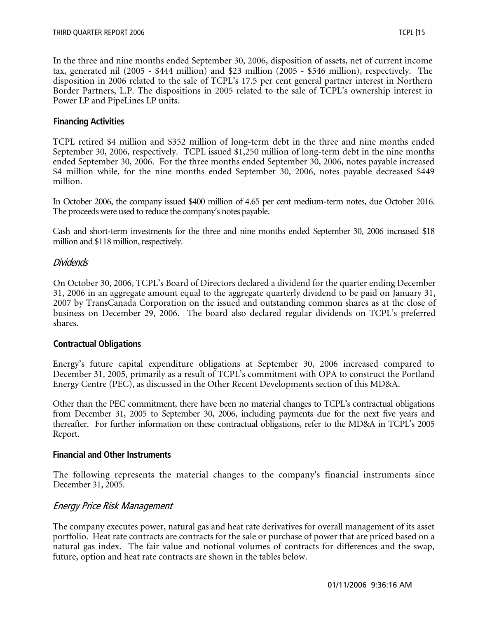In the three and nine months ended September 30, 2006, disposition of assets, net of current income tax, generated nil (2005 - \$444 million) and \$23 million (2005 - \$546 million), respectively. The disposition in 2006 related to the sale of TCPL's 17.5 per cent general partner interest in Northern Border Partners, L.P. The dispositions in 2005 related to the sale of TCPL's ownership interest in Power LP and PipeLines LP units.

#### **Financing Activities**

TCPL retired \$4 million and \$352 million of long-term debt in the three and nine months ended September 30, 2006, respectively. TCPL issued \$1,250 million of long-term debt in the nine months ended September 30, 2006. For the three months ended September 30, 2006, notes payable increased \$4 million while, for the nine months ended September 30, 2006, notes payable decreased \$449 million.

In October 2006, the company issued \$400 million of 4.65 per cent medium-term notes, due October 2016. The proceeds were used to reduce the company's notes payable.

Cash and short-term investments for the three and nine months ended September 30, 2006 increased \$18 million and \$118 million, respectively.

#### Dividends

On October 30, 2006, TCPL's Board of Directors declared a dividend for the quarter ending December 31, 2006 in an aggregate amount equal to the aggregate quarterly dividend to be paid on January 31, 2007 by TransCanada Corporation on the issued and outstanding common shares as at the close of business on December 29, 2006. The board also declared regular dividends on TCPL's preferred shares.

#### **Contractual Obligations**

Energy's future capital expenditure obligations at September 30, 2006 increased compared to December 31, 2005, primarily as a result of TCPL's commitment with OPA to construct the Portland Energy Centre (PEC), as discussed in the Other Recent Developments section of this MD&A.

Other than the PEC commitment, there have been no material changes to TCPL's contractual obligations from December 31, 2005 to September 30, 2006, including payments due for the next five years and thereafter. For further information on these contractual obligations, refer to the MD&A in TCPL's 2005 Report.

#### **Financial and Other Instruments**

The following represents the material changes to the company's financial instruments since December 31, 2005.

## Energy Price Risk Management

The company executes power, natural gas and heat rate derivatives for overall management of its asset portfolio. Heat rate contracts are contracts for the sale or purchase of power that are priced based on a natural gas index. The fair value and notional volumes of contracts for differences and the swap, future, option and heat rate contracts are shown in the tables below.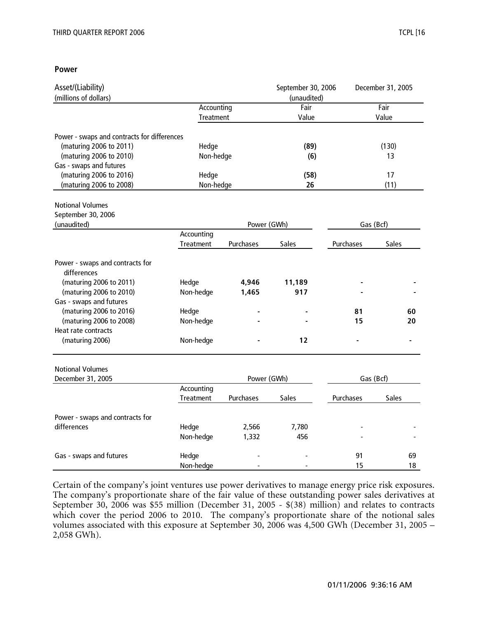#### **Power**

| Asset/(Liability)                            |            |             | September 30, 2006 |           | December 31, 2005 |
|----------------------------------------------|------------|-------------|--------------------|-----------|-------------------|
| (millions of dollars)                        |            |             | (unaudited)        |           |                   |
|                                              | Accounting |             | Fair               |           | Fair              |
|                                              | Treatment  |             | Value              |           | Value             |
| Power - swaps and contracts for differences  |            |             |                    |           |                   |
| (maturing 2006 to 2011)                      | Hedge      |             | (89)               |           | (130)             |
| (maturing 2006 to 2010)                      | Non-hedge  |             | (6)                |           | 13                |
| Gas - swaps and futures                      |            |             |                    |           |                   |
| (maturing 2006 to 2016)                      | Hedge      |             | (58)               |           | 17                |
| (maturing 2006 to 2008)                      | Non-hedge  |             | 26                 |           | (11)              |
|                                              |            |             |                    |           |                   |
| <b>Notional Volumes</b>                      |            |             |                    |           |                   |
| September 30, 2006                           |            |             |                    |           |                   |
| (unaudited)                                  |            | Power (GWh) |                    |           | Gas (Bcf)         |
|                                              | Accounting |             |                    |           |                   |
|                                              | Treatment  | Purchases   | Sales              | Purchases | Sales             |
| Power - swaps and contracts for              |            |             |                    |           |                   |
| differences                                  |            |             |                    |           |                   |
| (maturing 2006 to 2011)                      | Hedge      | 4,946       | 11,189             |           |                   |
| (maturing 2006 to 2010)                      | Non-hedge  | 1,465       | 917                |           |                   |
| Gas - swaps and futures                      |            |             |                    |           |                   |
| (maturing 2006 to 2016)                      | Hedge      |             |                    | 81        | 60                |
| (maturing 2006 to 2008)                      | Non-hedge  |             |                    | 15        | 20                |
| Heat rate contracts                          |            |             |                    |           |                   |
| (maturing 2006)                              | Non-hedge  |             | 12                 |           |                   |
|                                              |            |             |                    |           |                   |
| <b>Notional Volumes</b><br>December 31, 2005 |            | Power (GWh) |                    |           | Gas (Bcf)         |
|                                              | Accounting |             |                    |           |                   |
|                                              | Treatment  | Purchases   | Sales              | Purchases | <b>Sales</b>      |
| Power - swaps and contracts for              |            |             |                    |           |                   |
| differences                                  | Hedge      | 2,566       | 7,780              |           |                   |
|                                              | Non-hedge  | 1,332       | 456                |           |                   |
| Gas - swaps and futures                      | Hedge      |             |                    | 91        | 69                |
|                                              | Non-hedge  |             |                    | 15        | 18                |

Certain of the company's joint ventures use power derivatives to manage energy price risk exposures. The company's proportionate share of the fair value of these outstanding power sales derivatives at September 30, 2006 was \$55 million (December 31, 2005 - \$(38) million) and relates to contracts which cover the period 2006 to 2010. The company's proportionate share of the notional sales volumes associated with this exposure at September 30, 2006 was 4,500 GWh (December 31, 2005 – 2,058 GWh).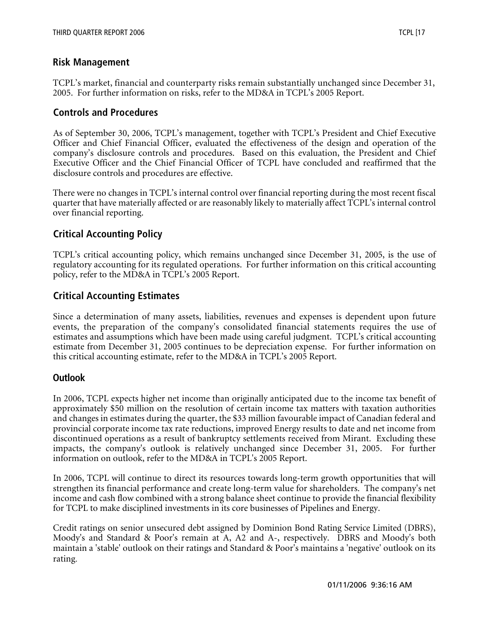## **Risk Management**

TCPL's market, financial and counterparty risks remain substantially unchanged since December 31, 2005. For further information on risks, refer to the MD&A in TCPL's 2005 Report.

## **Controls and Procedures**

As of September 30, 2006, TCPL's management, together with TCPL's President and Chief Executive Officer and Chief Financial Officer, evaluated the effectiveness of the design and operation of the company's disclosure controls and procedures. Based on this evaluation, the President and Chief Executive Officer and the Chief Financial Officer of TCPL have concluded and reaffirmed that the disclosure controls and procedures are effective.

There were no changes in TCPL's internal control over financial reporting during the most recent fiscal quarter that have materially affected or are reasonably likely to materially affect TCPL's internal control over financial reporting.

## **Critical Accounting Policy**

TCPL's critical accounting policy, which remains unchanged since December 31, 2005, is the use of regulatory accounting for its regulated operations. For further information on this critical accounting policy, refer to the MD&A in TCPL's 2005 Report.

# **Critical Accounting Estimates**

Since a determination of many assets, liabilities, revenues and expenses is dependent upon future events, the preparation of the company's consolidated financial statements requires the use of estimates and assumptions which have been made using careful judgment. TCPL's critical accounting estimate from December 31, 2005 continues to be depreciation expense. For further information on this critical accounting estimate, refer to the MD&A in TCPL's 2005 Report.

## **Outlook**

In 2006, TCPL expects higher net income than originally anticipated due to the income tax benefit of approximately \$50 million on the resolution of certain income tax matters with taxation authorities and changes in estimates during the quarter, the \$33 million favourable impact of Canadian federal and provincial corporate income tax rate reductions, improved Energy results to date and net income from discontinued operations as a result of bankruptcy settlements received from Mirant. Excluding these impacts, the company's outlook is relatively unchanged since December 31, 2005. For further information on outlook, refer to the MD&A in TCPL's 2005 Report.

In 2006, TCPL will continue to direct its resources towards long-term growth opportunities that will strengthen its financial performance and create long-term value for shareholders. The company's net income and cash flow combined with a strong balance sheet continue to provide the financial flexibility for TCPL to make disciplined investments in its core businesses of Pipelines and Energy.

Credit ratings on senior unsecured debt assigned by Dominion Bond Rating Service Limited (DBRS), Moody's and Standard & Poor's remain at A, A2 and A-, respectively. DBRS and Moody's both maintain a 'stable' outlook on their ratings and Standard & Poor's maintains a 'negative' outlook on its rating.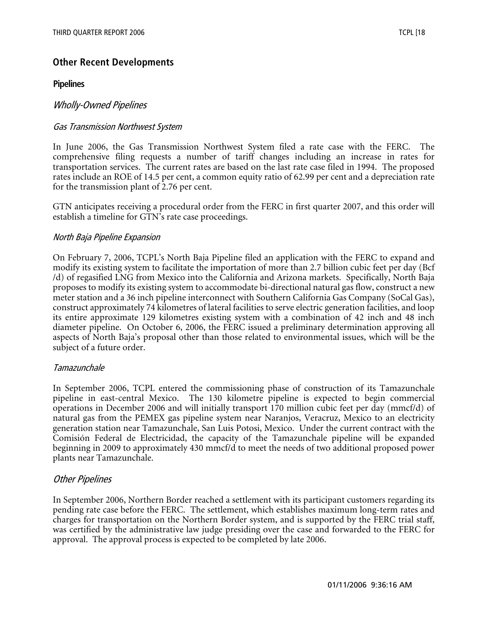# **Other Recent Developments**

#### **Pipelines**

## Wholly-Owned Pipelines

#### Gas Transmission Northwest System

In June 2006, the Gas Transmission Northwest System filed a rate case with the FERC. The comprehensive filing requests a number of tariff changes including an increase in rates for transportation services. The current rates are based on the last rate case filed in 1994. The proposed rates include an ROE of 14.5 per cent, a common equity ratio of 62.99 per cent and a depreciation rate for the transmission plant of 2.76 per cent.

GTN anticipates receiving a procedural order from the FERC in first quarter 2007, and this order will establish a timeline for GTN's rate case proceedings.

#### North Baja Pipeline Expansion

On February 7, 2006, TCPL's North Baja Pipeline filed an application with the FERC to expand and modify its existing system to facilitate the importation of more than 2.7 billion cubic feet per day (Bcf /d) of regasified LNG from Mexico into the California and Arizona markets. Specifically, North Baja proposes to modify its existing system to accommodate bi-directional natural gas flow, construct a new meter station and a 36 inch pipeline interconnect with Southern California Gas Company (SoCal Gas), construct approximately 74 kilometres of lateral facilities to serve electric generation facilities, and loop its entire approximate 129 kilometres existing system with a combination of 42 inch and 48 inch diameter pipeline. On October 6, 2006, the FERC issued a preliminary determination approving all aspects of North Baja's proposal other than those related to environmental issues, which will be the subject of a future order.

#### Tamazunchale

In September 2006, TCPL entered the commissioning phase of construction of its Tamazunchale pipeline in east-central Mexico. The 130 kilometre pipeline is expected to begin commercial operations in December 2006 and will initially transport 170 million cubic feet per day (mmcf/d) of natural gas from the PEMEX gas pipeline system near Naranjos, Veracruz, Mexico to an electricity generation station near Tamazunchale, San Luis Potosi, Mexico. Under the current contract with the Comisión Federal de Electricidad, the capacity of the Tamazunchale pipeline will be expanded beginning in 2009 to approximately 430 mmcf/d to meet the needs of two additional proposed power plants near Tamazunchale.

## Other Pipelines

In September 2006, Northern Border reached a settlement with its participant customers regarding its pending rate case before the FERC. The settlement, which establishes maximum long-term rates and charges for transportation on the Northern Border system, and is supported by the FERC trial staff, was certified by the administrative law judge presiding over the case and forwarded to the FERC for approval. The approval process is expected to be completed by late 2006.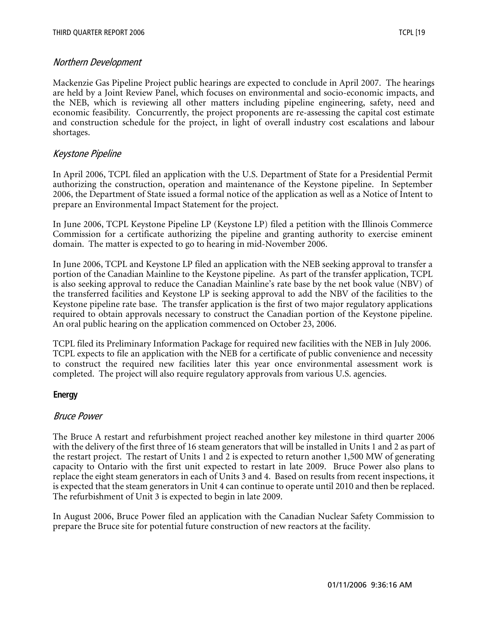## Northern Development

Mackenzie Gas Pipeline Project public hearings are expected to conclude in April 2007. The hearings are held by a Joint Review Panel, which focuses on environmental and socio-economic impacts, and the NEB, which is reviewing all other matters including pipeline engineering, safety, need and economic feasibility. Concurrently, the project proponents are re-assessing the capital cost estimate and construction schedule for the project, in light of overall industry cost escalations and labour shortages.

## Keystone Pipeline

In April 2006, TCPL filed an application with the U.S. Department of State for a Presidential Permit authorizing the construction, operation and maintenance of the Keystone pipeline. In September 2006, the Department of State issued a formal notice of the application as well as a Notice of Intent to prepare an Environmental Impact Statement for the project.

In June 2006, TCPL Keystone Pipeline LP (Keystone LP) filed a petition with the Illinois Commerce Commission for a certificate authorizing the pipeline and granting authority to exercise eminent domain. The matter is expected to go to hearing in mid-November 2006.

In June 2006, TCPL and Keystone LP filed an application with the NEB seeking approval to transfer a portion of the Canadian Mainline to the Keystone pipeline. As part of the transfer application, TCPL is also seeking approval to reduce the Canadian Mainline's rate base by the net book value (NBV) of the transferred facilities and Keystone LP is seeking approval to add the NBV of the facilities to the Keystone pipeline rate base. The transfer application is the first of two major regulatory applications required to obtain approvals necessary to construct the Canadian portion of the Keystone pipeline. An oral public hearing on the application commenced on October 23, 2006.

TCPL filed its Preliminary Information Package for required new facilities with the NEB in July 2006. TCPL expects to file an application with the NEB for a certificate of public convenience and necessity to construct the required new facilities later this year once environmental assessment work is completed. The project will also require regulatory approvals from various U.S. agencies.

## **Energy**

## Bruce Power

The Bruce A restart and refurbishment project reached another key milestone in third quarter 2006 with the delivery of the first three of 16 steam generators that will be installed in Units 1 and 2 as part of the restart project. The restart of Units 1 and 2 is expected to return another 1,500 MW of generating capacity to Ontario with the first unit expected to restart in late 2009. Bruce Power also plans to replace the eight steam generators in each of Units 3 and 4. Based on results from recent inspections, it is expected that the steam generators in Unit 4 can continue to operate until 2010 and then be replaced. The refurbishment of Unit 3 is expected to begin in late 2009.

In August 2006, Bruce Power filed an application with the Canadian Nuclear Safety Commission to prepare the Bruce site for potential future construction of new reactors at the facility.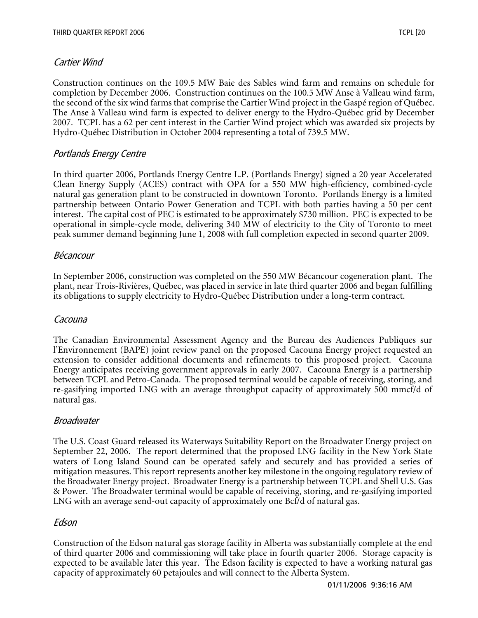## Cartier Wind

Construction continues on the 109.5 MW Baie des Sables wind farm and remains on schedule for completion by December 2006. Construction continues on the 100.5 MW Anse à Valleau wind farm, the second of the six wind farms that comprise the Cartier Wind project in the Gaspé region of Québec. The Anse à Valleau wind farm is expected to deliver energy to the Hydro-Québec grid by December 2007. TCPL has a 62 per cent interest in the Cartier Wind project which was awarded six projects by Hydro-Québec Distribution in October 2004 representing a total of 739.5 MW.

## Portlands Energy Centre

In third quarter 2006, Portlands Energy Centre L.P. (Portlands Energy) signed a 20 year Accelerated Clean Energy Supply (ACES) contract with OPA for a 550 MW high-efficiency, combined-cycle natural gas generation plant to be constructed in downtown Toronto. Portlands Energy is a limited partnership between Ontario Power Generation and TCPL with both parties having a 50 per cent interest. The capital cost of PEC is estimated to be approximately \$730 million. PEC is expected to be operational in simple-cycle mode, delivering 340 MW of electricity to the City of Toronto to meet peak summer demand beginning June 1, 2008 with full completion expected in second quarter 2009.

## Bécancour

In September 2006, construction was completed on the 550 MW Bécancour cogeneration plant. The plant, near Trois-Rivières, Québec, was placed in service in late third quarter 2006 and began fulfilling its obligations to supply electricity to Hydro-Québec Distribution under a long-term contract.

## Cacouna

The Canadian Environmental Assessment Agency and the Bureau des Audiences Publiques sur l'Environnement (BAPE) joint review panel on the proposed Cacouna Energy project requested an extension to consider additional documents and refinements to this proposed project. Cacouna Energy anticipates receiving government approvals in early 2007. Cacouna Energy is a partnership between TCPL and Petro-Canada. The proposed terminal would be capable of receiving, storing, and re-gasifying imported LNG with an average throughput capacity of approximately 500 mmcf/d of natural gas.

## **Broadwater**

The U.S. Coast Guard released its Waterways Suitability Report on the Broadwater Energy project on September 22, 2006. The report determined that the proposed LNG facility in the New York State waters of Long Island Sound can be operated safely and securely and has provided a series of mitigation measures. This report represents another key milestone in the ongoing regulatory review of the Broadwater Energy project. Broadwater Energy is a partnership between TCPL and Shell U.S. Gas & Power. The Broadwater terminal would be capable of receiving, storing, and re-gasifying imported LNG with an average send-out capacity of approximately one Bcf/d of natural gas.

## Edson

Construction of the Edson natural gas storage facility in Alberta was substantially complete at the end of third quarter 2006 and commissioning will take place in fourth quarter 2006. Storage capacity is expected to be available later this year. The Edson facility is expected to have a working natural gas capacity of approximately 60 petajoules and will connect to the Alberta System.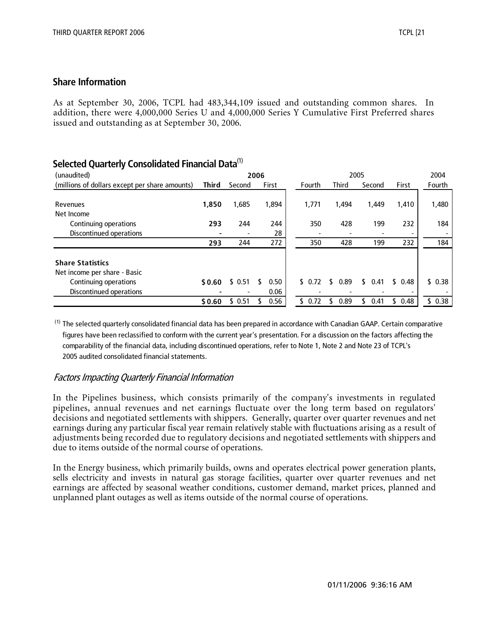#### **Share Information**

As at September 30, 2006, TCPL had 483,344,109 issued and outstanding common shares. In addition, there were 4,000,000 Series U and 4,000,000 Series Y Cumulative First Preferred shares issued and outstanding as at September 30, 2006.

| belected Quarterly Consolidated Financial Data |        |                |      |       |  |        |            |      |        |            |        |
|------------------------------------------------|--------|----------------|------|-------|--|--------|------------|------|--------|------------|--------|
| (unaudited)                                    |        |                | 2006 |       |  |        |            | 2005 |        |            | 2004   |
| (millions of dollars except per share amounts) | Third  | Second         |      | First |  | Fourth | Third      |      | Second | First      | Fourth |
|                                                |        |                |      |       |  |        |            |      |        |            |        |
| Revenues                                       | 1,850  | 1,685          |      | 1,894 |  | 1,771  | 1.494      |      | 1.449  | 1,410      | 1,480  |
| Net Income                                     |        |                |      |       |  |        |            |      |        |            |        |
| Continuing operations                          | 293    | 244            |      | 244   |  | 350    | 428        |      | 199    | 232        | 184    |
| Discontinued operations                        |        | $\blacksquare$ |      | 28    |  |        |            |      |        |            |        |
|                                                | 293    | 244            |      | 272   |  | 350    | 428        |      | 199    | 232        | 184    |
| <b>Share Statistics</b>                        |        |                |      |       |  |        |            |      |        |            |        |
| Net income per share - Basic                   |        |                |      |       |  |        |            |      |        |            |        |
| Continuing operations                          | \$0.60 | \$0.51         |      | 0.50  |  | \$0.72 | \$<br>0.89 | \$   | 0.41   | \$0.48     | \$0.38 |
| Discontinued operations                        |        |                |      | 0.06  |  |        |            |      |        |            |        |
|                                                | \$0.60 | \$0.51         |      | 0.56  |  | \$0.72 | 0.89       | 5    | 0.41   | \$<br>0.48 | \$0.38 |

## **Selected Quarterly Consolidated Financial Data**(1)

<sup>(1)</sup> The selected quarterly consolidated financial data has been prepared in accordance with Canadian GAAP. Certain comparative figures have been reclassified to conform with the current year's presentation. For a discussion on the factors affecting the comparability of the financial data, including discontinued operations, refer to Note 1, Note 2 and Note 23 of TCPL's 2005 audited consolidated financial statements.

## Factors Impacting Quarterly Financial Information

In the Pipelines business, which consists primarily of the company's investments in regulated pipelines, annual revenues and net earnings fluctuate over the long term based on regulators' decisions and negotiated settlements with shippers. Generally, quarter over quarter revenues and net earnings during any particular fiscal year remain relatively stable with fluctuations arising as a result of adjustments being recorded due to regulatory decisions and negotiated settlements with shippers and due to items outside of the normal course of operations.

In the Energy business, which primarily builds, owns and operates electrical power generation plants, sells electricity and invests in natural gas storage facilities, quarter over quarter revenues and net earnings are affected by seasonal weather conditions, customer demand, market prices, planned and unplanned plant outages as well as items outside of the normal course of operations.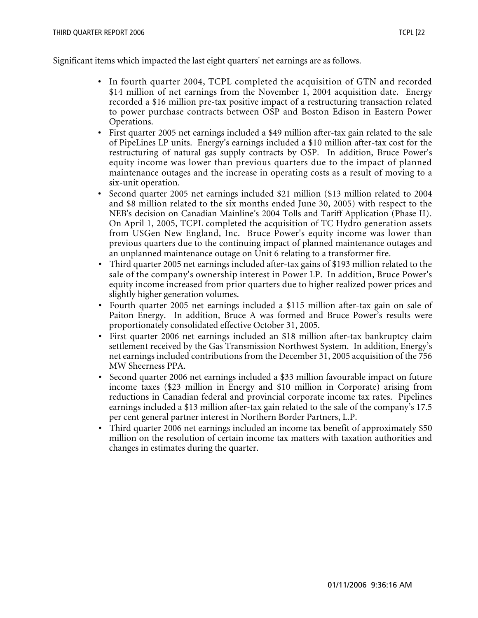Significant items which impacted the last eight quarters' net earnings are as follows.

- In fourth quarter 2004, TCPL completed the acquisition of GTN and recorded \$14 million of net earnings from the November 1, 2004 acquisition date. Energy recorded a \$16 million pre-tax positive impact of a restructuring transaction related to power purchase contracts between OSP and Boston Edison in Eastern Power Operations.
- First quarter 2005 net earnings included a \$49 million after-tax gain related to the sale of PipeLines LP units. Energy's earnings included a \$10 million after-tax cost for the restructuring of natural gas supply contracts by OSP. In addition, Bruce Power's equity income was lower than previous quarters due to the impact of planned maintenance outages and the increase in operating costs as a result of moving to a six-unit operation.
- Second quarter 2005 net earnings included \$21 million (\$13 million related to 2004 and \$8 million related to the six months ended June 30, 2005) with respect to the NEB's decision on Canadian Mainline's 2004 Tolls and Tariff Application (Phase II). On April 1, 2005, TCPL completed the acquisition of TC Hydro generation assets from USGen New England, Inc. Bruce Power's equity income was lower than previous quarters due to the continuing impact of planned maintenance outages and an unplanned maintenance outage on Unit 6 relating to a transformer fire.
- Third quarter 2005 net earnings included after-tax gains of \$193 million related to the sale of the company's ownership interest in Power LP. In addition, Bruce Power's equity income increased from prior quarters due to higher realized power prices and slightly higher generation volumes.
- Fourth quarter 2005 net earnings included a \$115 million after-tax gain on sale of Paiton Energy. In addition, Bruce A was formed and Bruce Power's results were proportionately consolidated effective October 31, 2005.
- First quarter 2006 net earnings included an \$18 million after-tax bankruptcy claim settlement received by the Gas Transmission Northwest System. In addition, Energy's net earnings included contributions from the December 31, 2005 acquisition of the 756 MW Sheerness PPA.
- Second quarter 2006 net earnings included a \$33 million favourable impact on future income taxes (\$23 million in Energy and \$10 million in Corporate) arising from reductions in Canadian federal and provincial corporate income tax rates. Pipelines earnings included a \$13 million after-tax gain related to the sale of the company's 17.5 per cent general partner interest in Northern Border Partners, L.P.
- Third quarter 2006 net earnings included an income tax benefit of approximately \$50 million on the resolution of certain income tax matters with taxation authorities and changes in estimates during the quarter.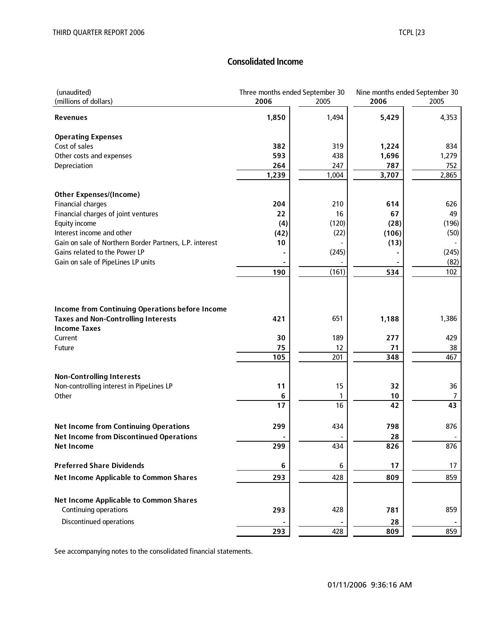# **Consolidated Income**

| (unaudited)<br>(millions of dollars)                              | 2006    | Three months ended September 30<br>2005 | 2006  | Nine months ended September 30<br>2005 |  |
|-------------------------------------------------------------------|---------|-----------------------------------------|-------|----------------------------------------|--|
| <b>Revenues</b>                                                   | 1,850   | 1,494                                   | 5,429 | 4,353                                  |  |
| <b>Operating Expenses</b>                                         |         |                                         |       |                                        |  |
| Cost of sales                                                     | 382     | 319                                     | 1,224 | 834                                    |  |
| Other costs and expenses                                          | 593     | 438                                     | 1,696 | 1,279                                  |  |
| Depreciation                                                      | 264     | 247                                     | 787   | 752                                    |  |
|                                                                   | 1,239   | 1,004                                   | 3,707 | 2,865                                  |  |
| <b>Other Expenses/(Income)</b>                                    |         |                                         |       |                                        |  |
| <b>Financial charges</b>                                          | 204     | 210                                     | 614   | 626                                    |  |
| Financial charges of joint ventures                               | 22      | 16                                      | 67    | 49                                     |  |
| Equity income                                                     | (4)     | (120)                                   | (28)  | (196)                                  |  |
| Interest income and other                                         | (42)    | (22)                                    | (106) | (50)                                   |  |
| Gain on sale of Northern Border Partners, L.P. interest           | 10      |                                         | (13)  |                                        |  |
| Gains related to the Power LP                                     |         | (245)                                   |       | (245)                                  |  |
| Gain on sale of PipeLines LP units                                |         |                                         |       | (82)                                   |  |
|                                                                   | 190     | (161)                                   | 534   | 102                                    |  |
| <b>Income from Continuing Operations before Income</b>            |         |                                         |       |                                        |  |
| <b>Taxes and Non-Controlling Interests</b><br><b>Income Taxes</b> | 421     | 651                                     | 1,188 | 1,386                                  |  |
| Current                                                           | 30      | 189                                     | 277   | 429                                    |  |
| Future                                                            | 75      | 12                                      | 71    | 38                                     |  |
|                                                                   | 105     | 201                                     | 348   | 467                                    |  |
| <b>Non-Controlling Interests</b>                                  |         |                                         |       |                                        |  |
| Non-controlling interest in PipeLines LP                          | 11      | 15                                      | 32    | 36                                     |  |
| Other                                                             | 6       | 1                                       | 10    | $\overline{7}$                         |  |
|                                                                   | 17      | 16                                      | 42    | 43                                     |  |
| <b>Net Income from Continuing Operations</b>                      | 299     | 434                                     | 798   | 876                                    |  |
| <b>Net Income from Discontinued Operations</b>                    |         |                                         | 28    |                                        |  |
| <b>Net Income</b>                                                 | 299     | 434                                     | 826   | 876                                    |  |
| <b>Preferred Share Dividends</b>                                  | $\bf 6$ | 6                                       | 17    | 17                                     |  |
| <b>Net Income Applicable to Common Shares</b>                     | 293     | 428                                     | 809   | 859                                    |  |
| <b>Net Income Applicable to Common Shares</b>                     |         |                                         |       |                                        |  |
| Continuing operations                                             | 293     | 428                                     | 781   | 859                                    |  |
| Discontinued operations                                           |         |                                         | 28    |                                        |  |
|                                                                   | 293     | 428                                     | 809   | 859                                    |  |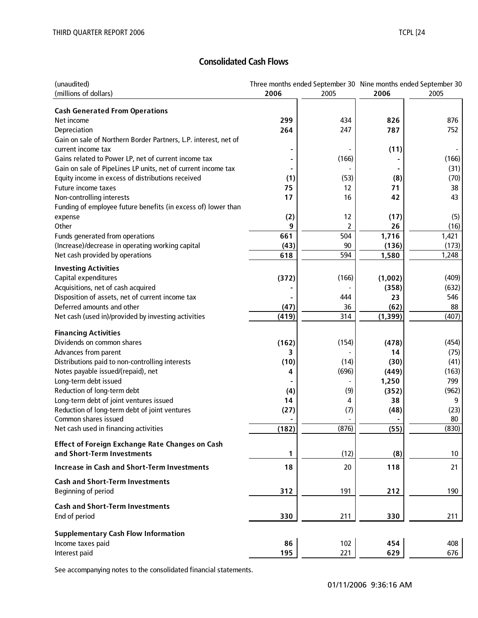# **Consolidated Cash Flows**

| (unaudited)                                                     |       | Three months ended September 30 Nine months ended September 30 |          |       |
|-----------------------------------------------------------------|-------|----------------------------------------------------------------|----------|-------|
| (millions of dollars)                                           | 2006  | 2005                                                           | 2006     | 2005  |
|                                                                 |       |                                                                |          |       |
| <b>Cash Generated From Operations</b>                           |       |                                                                |          |       |
| Net income                                                      | 299   | 434                                                            | 826      | 876   |
| Depreciation                                                    | 264   | 247                                                            | 787      | 752   |
| Gain on sale of Northern Border Partners, L.P. interest, net of |       |                                                                |          |       |
| current income tax                                              |       |                                                                | (11)     |       |
| Gains related to Power LP, net of current income tax            |       | (166)                                                          |          | (166) |
| Gain on sale of PipeLines LP units, net of current income tax   |       |                                                                |          | (31)  |
| Equity income in excess of distributions received               | (1)   | (53)                                                           | (8)      | (70)  |
| Future income taxes                                             | 75    | 12                                                             | 71       | 38    |
| Non-controlling interests                                       | 17    | 16                                                             | 42       | 43    |
| Funding of employee future benefits (in excess of) lower than   |       |                                                                |          |       |
| expense                                                         | (2)   | 12                                                             | (17)     | (5)   |
| Other                                                           | 9     |                                                                | 26       | (16)  |
| Funds generated from operations                                 | 661   | 504                                                            | 1,716    | 1,421 |
| (Increase)/decrease in operating working capital                | (43)  | 90                                                             | (136)    | (173) |
| Net cash provided by operations                                 | 618   | 594                                                            | 1,580    | 1,248 |
| <b>Investing Activities</b>                                     |       |                                                                |          |       |
| Capital expenditures                                            | (372) | (166)                                                          | (1,002)  | (409) |
| Acquisitions, net of cash acquired                              |       |                                                                | (358)    | (632) |
| Disposition of assets, net of current income tax                |       | 444                                                            | 23       | 546   |
| Deferred amounts and other                                      | (47)  | 36                                                             | (62)     | 88    |
| Net cash (used in)/provided by investing activities             | (419) | 314                                                            | (1, 399) | (407) |
|                                                                 |       |                                                                |          |       |
| <b>Financing Activities</b>                                     |       |                                                                |          |       |
| Dividends on common shares                                      | (162) | (154)                                                          | (478)    | (454) |
| Advances from parent                                            | 3     |                                                                | 14       | (75)  |
| Distributions paid to non-controlling interests                 | (10)  | (14)                                                           | (30)     | (41)  |
| Notes payable issued/(repaid), net                              | 4     | (696)                                                          | (449)    | (163) |
| Long-term debt issued                                           |       |                                                                | 1,250    | 799   |
| Reduction of long-term debt                                     | (4)   | (9)                                                            | (352)    | (962) |
| Long-term debt of joint ventures issued                         | 14    | 4                                                              | 38       | 9     |
| Reduction of long-term debt of joint ventures                   | (27)  | (7)                                                            | (48)     | (23)  |
| Common shares issued                                            |       |                                                                |          | 80    |
| Net cash used in financing activities                           | (182) | (876)                                                          | (55)     | (830) |
| <b>Effect of Foreign Exchange Rate Changes on Cash</b>          |       |                                                                |          |       |
| and Short-Term Investments                                      | 1     | (12)                                                           | (8)      | 10    |
| <b>Increase in Cash and Short-Term Investments</b>              | 18    | 20                                                             | 118      | 21    |
| <b>Cash and Short-Term Investments</b>                          |       |                                                                |          |       |
| Beginning of period                                             | 312   | 191                                                            | 212      | 190   |
|                                                                 |       |                                                                |          |       |
| <b>Cash and Short-Term Investments</b>                          |       |                                                                |          |       |
| End of period                                                   | 330   | 211                                                            | 330      | 211   |
| <b>Supplementary Cash Flow Information</b>                      |       |                                                                |          |       |
|                                                                 | 86    | 102                                                            | 454      | 408   |
| Income taxes paid                                               |       |                                                                |          |       |
| Interest paid                                                   | 195   | 221                                                            | 629      | 676   |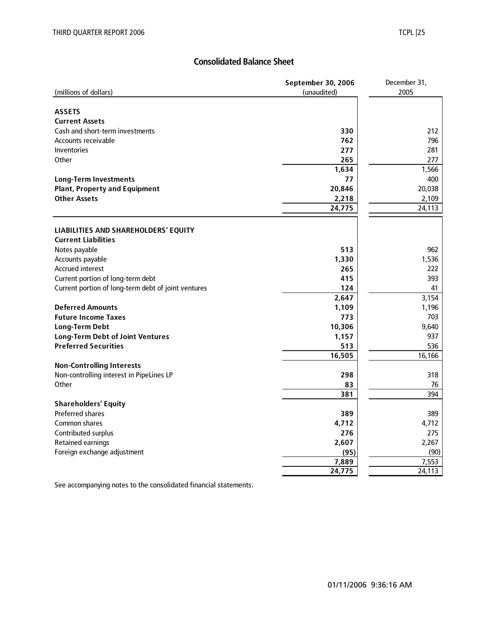# **Consolidated Balance Sheet**

|                                                     | September 30, 2006 | December 31, |
|-----------------------------------------------------|--------------------|--------------|
| (millions of dollars)                               | (unaudited)        | 2005         |
|                                                     |                    |              |
| <b>ASSETS</b>                                       |                    |              |
| <b>Current Assets</b>                               |                    |              |
| Cash and short-term investments                     | 330                | 212          |
| Accounts receivable                                 | 762                | 796          |
| Inventories                                         | 277                | 281          |
| Other                                               | 265                | 277          |
|                                                     | 1,634              | 1,566        |
| <b>Long-Term Investments</b>                        | 77                 | 400          |
| <b>Plant, Property and Equipment</b>                | 20,846             | 20,038       |
| <b>Other Assets</b>                                 | 2,218              | 2,109        |
|                                                     | 24,775             | 24,113       |
|                                                     |                    |              |
| LIABILITIES AND SHAREHOLDERS' EQUITY                |                    |              |
| <b>Current Liabilities</b>                          |                    |              |
| Notes payable                                       | 513                | 962          |
| Accounts payable                                    | 1,330              | 1,536        |
| <b>Accrued interest</b>                             | 265                | 222          |
| Current portion of long-term debt                   | 415                | 393          |
| Current portion of long-term debt of joint ventures | 124                | 41           |
|                                                     | 2,647              | 3,154        |
| <b>Deferred Amounts</b>                             | 1,109              | 1,196        |
| <b>Future Income Taxes</b>                          | 773                | 703          |
| <b>Long-Term Debt</b>                               | 10,306             | 9,640        |
| <b>Long-Term Debt of Joint Ventures</b>             | 1,157              | 937          |
| <b>Preferred Securities</b>                         | 513                | 536          |
|                                                     | 16,505             | 16,166       |
| <b>Non-Controlling Interests</b>                    |                    |              |
| Non-controlling interest in PipeLines LP            | 298                | 318          |
| Other                                               | 83                 | 76           |
|                                                     | 381                | 394          |
| <b>Shareholders' Equity</b>                         |                    |              |
| <b>Preferred shares</b>                             | 389                | 389          |
| Common shares                                       | 4,712              | 4,712        |
| Contributed surplus                                 | 276                | 275          |
| <b>Retained earnings</b>                            | 2,607              | 2,267        |
| Foreign exchange adjustment                         | (95)               | (90)         |
|                                                     | 7,889              | 7,553        |
|                                                     | 24,775             | 24,113       |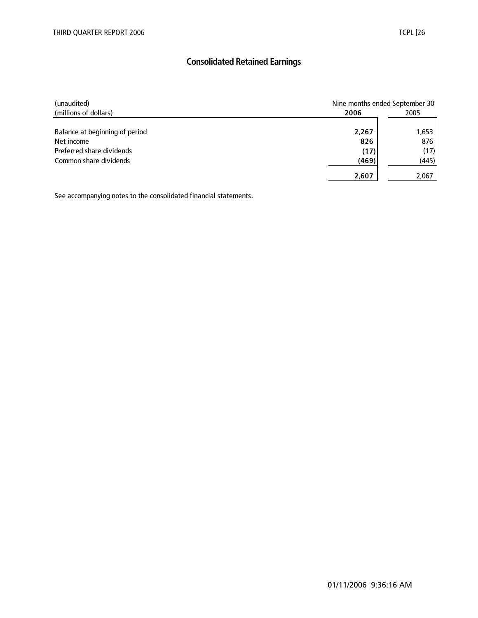# **Consolidated Retained Earnings**

| (unaudited)                    |       | Nine months ended September 30 |  |  |  |
|--------------------------------|-------|--------------------------------|--|--|--|
| (millions of dollars)          | 2006  | 2005                           |  |  |  |
|                                |       |                                |  |  |  |
| Balance at beginning of period | 2,267 | 1,653                          |  |  |  |
| Net income                     | 826   | 876                            |  |  |  |
| Preferred share dividends      | (17)  | (17)                           |  |  |  |
| Common share dividends         | (469) | (445)                          |  |  |  |
|                                | 2,607 | 2,067                          |  |  |  |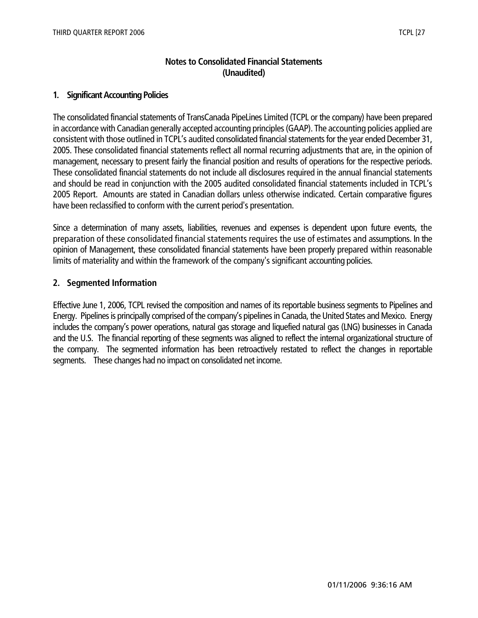## **Notes to Consolidated Financial Statements (Unaudited)**

## **1. Significant Accounting Policies**

The consolidated financial statements of TransCanada PipeLines Limited (TCPL or the company) have been prepared in accordance with Canadian generally accepted accounting principles (GAAP). The accounting policies applied are consistent with those outlined in TCPL's audited consolidated financial statements for the year ended December 31, 2005. These consolidated financial statements reflect all normal recurring adjustments that are, in the opinion of management, necessary to present fairly the financial position and results of operations for the respective periods. These consolidated financial statements do not include all disclosures required in the annual financial statements and should be read in conjunction with the 2005 audited consolidated financial statements included in TCPL's 2005 Report. Amounts are stated in Canadian dollars unless otherwise indicated. Certain comparative figures have been reclassified to conform with the current period's presentation.

Since a determination of many assets, liabilities, revenues and expenses is dependent upon future events, the preparation of these consolidated financial statements requires the use of estimates and assumptions. In the opinion of Management, these consolidated financial statements have been properly prepared within reasonable limits of materiality and within the framework of the company's significant accounting policies.

## **2. Segmented Information**

Effective June 1, 2006, TCPL revised the composition and names of its reportable business segments to Pipelines and Energy. Pipelines is principally comprised of the company's pipelines in Canada, the United States and Mexico. Energy includes the company's power operations, natural gas storage and liquefied natural gas (LNG) businesses in Canada and the U.S. The financial reporting of these segments was aligned to reflect the internal organizational structure of the company. The segmented information has been retroactively restated to reflect the changes in reportable segments. These changes had no impact on consolidated net income.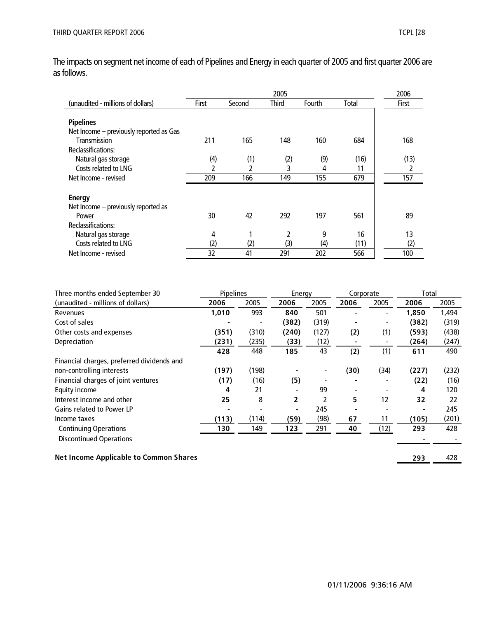The impacts on segment net income of each of Pipelines and Energy in each quarter of 2005 and first quarter 2006 are as follows.

|                                         |       |        | 2005         |        |       | 2006  |
|-----------------------------------------|-------|--------|--------------|--------|-------|-------|
| (unaudited - millions of dollars)       | First | Second | <b>Third</b> | Fourth | Total | First |
|                                         |       |        |              |        |       |       |
| <b>Pipelines</b>                        |       |        |              |        |       |       |
| Net Income - previously reported as Gas |       |        |              |        |       |       |
| Transmission                            | 211   | 165    | 148          | 160    | 684   | 168   |
| Reclassifications:                      |       |        |              |        |       |       |
| Natural gas storage                     | (4)   | (1)    | (2)          | (9)    | (16)  | (13)  |
| Costs related to LNG                    | 2     |        | 3            | 4      | 11    | 2     |
| Net Income - revised                    | 209   | 166    | 149          | 155    | 679   | 157   |
|                                         |       |        |              |        |       |       |
| <b>Energy</b>                           |       |        |              |        |       |       |
| Net Income - previously reported as     |       |        |              |        |       |       |
| Power                                   | 30    | 42     | 292          | 197    | 561   | 89    |
| Reclassifications:                      |       |        |              |        |       |       |
| Natural gas storage                     | 4     |        | 2            | 9      | 16    | 13    |
| Costs related to LNG                    | (2)   | (2)    | (3)          | (4)    | (11)  | (2)   |
| Net Income - revised                    | 32    | 41     | 291          | 202    | 566   | 100   |

| Three months ended September 30            | Pipelines |       | Energy                   |       | Corporate |      | Total |       |
|--------------------------------------------|-----------|-------|--------------------------|-------|-----------|------|-------|-------|
| (unaudited - millions of dollars)          | 2006      | 2005  | 2006                     | 2005  | 2006      | 2005 | 2006  | 2005  |
| Revenues                                   | 1,010     | 993   | 840                      | 501   |           |      | 1,850 | 1,494 |
| Cost of sales                              |           |       | (382)                    | (319) |           | ۰    | (382) | (319) |
| Other costs and expenses                   | (351)     | (310) | (240)                    | (127) | (2)       | (1)  | (593) | (438) |
| Depreciation                               | (231)     | (235) | (33)                     | (12)  |           |      | (264) | (247) |
|                                            | 428       | 448   | 185                      | 43    | (2)       | (1)  | 611   | 490   |
| Financial charges, preferred dividends and |           |       |                          |       |           |      |       |       |
| non-controlling interests                  | (197)     | (198) |                          |       | (30)      | (34) | (227) | (232) |
| Financial charges of joint ventures        | (17)      | (16)  | (5)                      |       |           |      | (22)  | (16)  |
| Equity income                              | 4         | 21    |                          | 99    |           |      | 4     | 120   |
| Interest income and other                  | 25        | 8     | 2                        |       | 5         | 12   | 32    | 22    |
| <b>Gains related to Power LP</b>           |           |       | $\overline{\phantom{0}}$ | 245   |           |      |       | 245   |
| Income taxes                               | (113)     | (114) | (59)                     | (98)  | 67        | 11   | (105) | (201) |
| <b>Continuing Operations</b>               | 130       | 149   | 123                      | 291   | 40        | (12) | 293   | 428   |
| <b>Discontinued Operations</b>             |           |       |                          |       |           |      |       |       |
|                                            |           |       |                          |       |           |      |       |       |

**Net Income Applicable to Common Shares 293** 428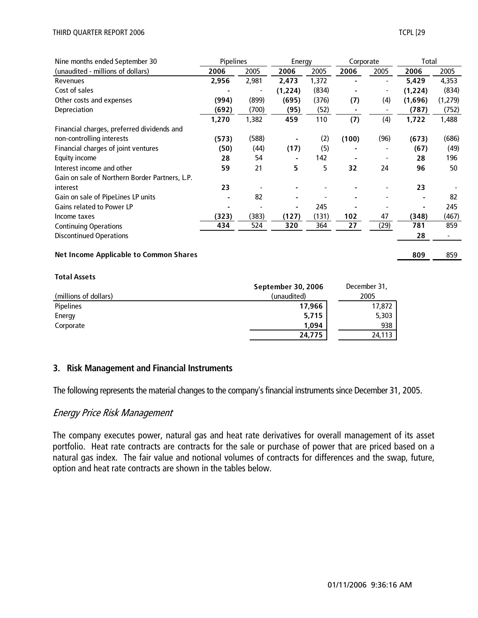| Nine months ended September 30                 | <b>Pipelines</b> |       | Energy   |       | Corporate |      | Total   |          |
|------------------------------------------------|------------------|-------|----------|-------|-----------|------|---------|----------|
| (unaudited - millions of dollars)              | 2006             | 2005  | 2006     | 2005  | 2006      | 2005 | 2006    | 2005     |
| Revenues                                       | 2,956            | 2,981 | 2,473    | 1,372 |           |      | 5,429   | 4,353    |
| Cost of sales                                  |                  |       | (1, 224) | (834) |           |      | (1,224) | (834)    |
| Other costs and expenses                       | (994)            | (899) | (695)    | (376) | (7)       | (4)  | (1,696) | (1, 279) |
| Depreciation                                   | (692)            | (700) | (95)     | (52)  |           |      | (787)   | (752)    |
|                                                | 1,270            | 1,382 | 459      | 110   | (7)       | (4)  | 1,722   | 1,488    |
| Financial charges, preferred dividends and     |                  |       |          |       |           |      |         |          |
| non-controlling interests                      | (573)            | (588) |          | (2)   | (100)     | (96) | (673)   | (686)    |
| Financial charges of joint ventures            | (50)             | (44)  | (17)     | (5)   |           |      | (67)    | (49)     |
| Equity income                                  | 28               | 54    |          | 142   |           |      | 28      | 196      |
| Interest income and other                      | 59               | 21    | 5        | 5     | 32        | 24   | 96      | 50       |
| Gain on sale of Northern Border Partners, L.P. |                  |       |          |       |           |      |         |          |
| interest                                       | 23               |       |          |       |           |      | 23      |          |
| Gain on sale of PipeLines LP units             |                  | 82    |          |       |           |      |         | 82       |
| <b>Gains related to Power LP</b>               |                  |       | -        | 245   |           |      |         | 245      |
| Income taxes                                   | (323)            | (383) | (127)    | (131) | 102       | 47   | (348)   | (467)    |
| <b>Continuing Operations</b>                   | 434              | 524   | 320      | 364   | 27        | (29) | 781     | 859      |
| <b>Discontinued Operations</b>                 |                  |       |          |       |           |      | 28      |          |
|                                                |                  |       |          |       |           |      |         |          |
| <b>Net Income Applicable to Common Shares</b>  |                  |       |          |       |           |      | 809     | 859      |

#### **Total Assets**

|                       | <b>September 30, 2006</b> | December 31, |
|-----------------------|---------------------------|--------------|
| (millions of dollars) | (unaudited)               | 2005         |
| <b>Pipelines</b>      | 17,966                    | 17,872       |
| Energy                | 5,715                     | 5,303        |
| Corporate             | 1.094                     | 938          |
|                       | 24,775                    | 24,113       |

#### **3. Risk Management and Financial Instruments**

The following represents the material changes to the company's financial instruments since December 31, 2005.

#### Energy Price Risk Management

The company executes power, natural gas and heat rate derivatives for overall management of its asset portfolio. Heat rate contracts are contracts for the sale or purchase of power that are priced based on a natural gas index. The fair value and notional volumes of contracts for differences and the swap, future, option and heat rate contracts are shown in the tables below.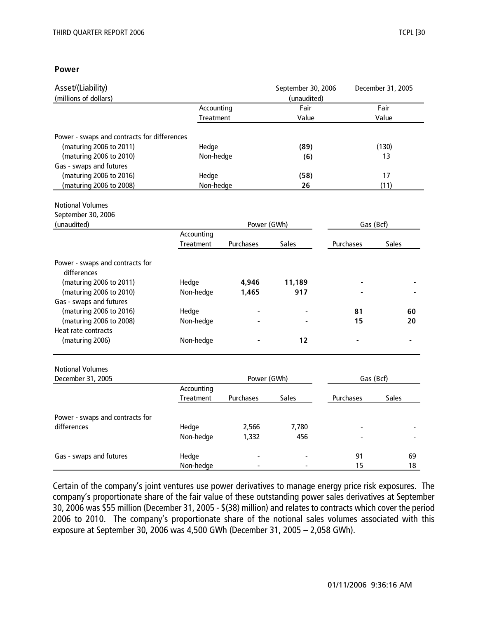#### **Power**

| Asset/(Liability)                                                      |            |             | September 30, 2006 |           | December 31, 2005 |
|------------------------------------------------------------------------|------------|-------------|--------------------|-----------|-------------------|
| (millions of dollars)                                                  |            |             | (unaudited)        |           |                   |
|                                                                        | Accounting |             | Fair               |           | Fair              |
|                                                                        | Treatment  |             | Value              |           | Value             |
|                                                                        |            |             |                    |           |                   |
| Power - swaps and contracts for differences<br>(maturing 2006 to 2011) | Hedge      |             |                    |           | (130)             |
| (maturing 2006 to 2010)                                                | Non-hedge  |             | (89)<br>(6)        |           | 13                |
| Gas - swaps and futures                                                |            |             |                    |           |                   |
| (maturing 2006 to 2016)                                                | Hedge      |             |                    |           | 17                |
| (maturing 2006 to 2008)                                                | Non-hedge  |             | (58)<br>26         |           | (11)              |
|                                                                        |            |             |                    |           |                   |
| <b>Notional Volumes</b>                                                |            |             |                    |           |                   |
| September 30, 2006                                                     |            |             |                    |           |                   |
| (unaudited)                                                            |            | Power (GWh) |                    |           | Gas (Bcf)         |
|                                                                        | Accounting |             |                    |           |                   |
|                                                                        | Treatment  | Purchases   | Sales              | Purchases | Sales             |
| Power - swaps and contracts for                                        |            |             |                    |           |                   |
| differences                                                            |            |             |                    |           |                   |
| (maturing 2006 to 2011)                                                | Hedge      | 4,946       | 11,189             |           |                   |
| (maturing 2006 to 2010)                                                | Non-hedge  | 1,465       | 917                |           |                   |
| Gas - swaps and futures                                                |            |             |                    |           |                   |
| (maturing 2006 to 2016)                                                | Hedge      |             |                    | 81        | 60                |
| (maturing 2006 to 2008)                                                | Non-hedge  |             |                    | 15        | 20                |
| Heat rate contracts                                                    |            |             |                    |           |                   |
| (maturing 2006)                                                        | Non-hedge  |             | 12                 |           |                   |
| <b>Notional Volumes</b>                                                |            |             |                    |           |                   |
| December 31, 2005                                                      |            |             | Power (GWh)        |           | Gas (Bcf)         |
|                                                                        | Accounting |             |                    |           |                   |
|                                                                        | Treatment  | Purchases   | <b>Sales</b>       | Purchases | Sales             |
| Power - swaps and contracts for                                        |            |             |                    |           |                   |
| differences                                                            | Hedge      | 2,566       | 7,780              |           |                   |
|                                                                        | Non-hedge  | 1,332       | 456                |           |                   |
| Gas - swaps and futures                                                | Hedge      |             |                    | 91        | 69                |
|                                                                        | Non-hedge  |             |                    | 15        | 18                |

Certain of the company's joint ventures use power derivatives to manage energy price risk exposures. The company's proportionate share of the fair value of these outstanding power sales derivatives at September 30, 2006 was \$55 million (December 31, 2005 - \$(38) million) and relates to contracts which cover the period 2006 to 2010. The company's proportionate share of the notional sales volumes associated with this exposure at September 30, 2006 was 4,500 GWh (December 31, 2005 – 2,058 GWh).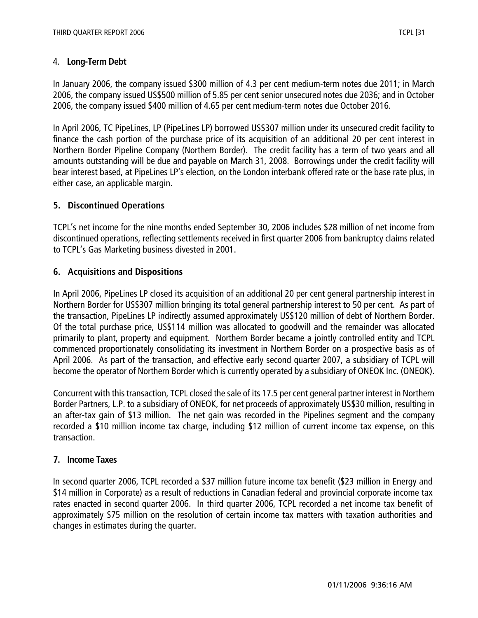## 4. **Long-Term Debt**

In January 2006, the company issued \$300 million of 4.3 per cent medium-term notes due 2011; in March 2006, the company issued US\$500 million of 5.85 per cent senior unsecured notes due 2036; and in October 2006, the company issued \$400 million of 4.65 per cent medium-term notes due October 2016.

In April 2006, TC PipeLines, LP (PipeLines LP) borrowed US\$307 million under its unsecured credit facility to finance the cash portion of the purchase price of its acquisition of an additional 20 per cent interest in Northern Border Pipeline Company (Northern Border). The credit facility has a term of two years and all amounts outstanding will be due and payable on March 31, 2008. Borrowings under the credit facility will bear interest based, at PipeLines LP's election, on the London interbank offered rate or the base rate plus, in either case, an applicable margin.

## **5. Discontinued Operations**

TCPL's net income for the nine months ended September 30, 2006 includes \$28 million of net income from discontinued operations, reflecting settlements received in first quarter 2006 from bankruptcy claims related to TCPL's Gas Marketing business divested in 2001.

## **6. Acquisitions and Dispositions**

In April 2006, PipeLines LP closed its acquisition of an additional 20 per cent general partnership interest in Northern Border for US\$307 million bringing its total general partnership interest to 50 per cent. As part of the transaction, PipeLines LP indirectly assumed approximately US\$120 million of debt of Northern Border. Of the total purchase price, US\$114 million was allocated to goodwill and the remainder was allocated primarily to plant, property and equipment. Northern Border became a jointly controlled entity and TCPL commenced proportionately consolidating its investment in Northern Border on a prospective basis as of April 2006. As part of the transaction, and effective early second quarter 2007, a subsidiary of TCPL will become the operator of Northern Border which is currently operated by a subsidiary of ONEOK Inc. (ONEOK).

Concurrent with this transaction, TCPL closed the sale of its 17.5 per cent general partner interest in Northern Border Partners, L.P. to a subsidiary of ONEOK, for net proceeds of approximately US\$30 million, resulting in an after-tax gain of \$13 million. The net gain was recorded in the Pipelines segment and the company recorded a \$10 million income tax charge, including \$12 million of current income tax expense, on this transaction.

## **7. Income Taxes**

In second quarter 2006, TCPL recorded a \$37 million future income tax benefit (\$23 million in Energy and \$14 million in Corporate) as a result of reductions in Canadian federal and provincial corporate income tax rates enacted in second quarter 2006. In third quarter 2006, TCPL recorded a net income tax benefit of approximately \$75 million on the resolution of certain income tax matters with taxation authorities and changes in estimates during the quarter.